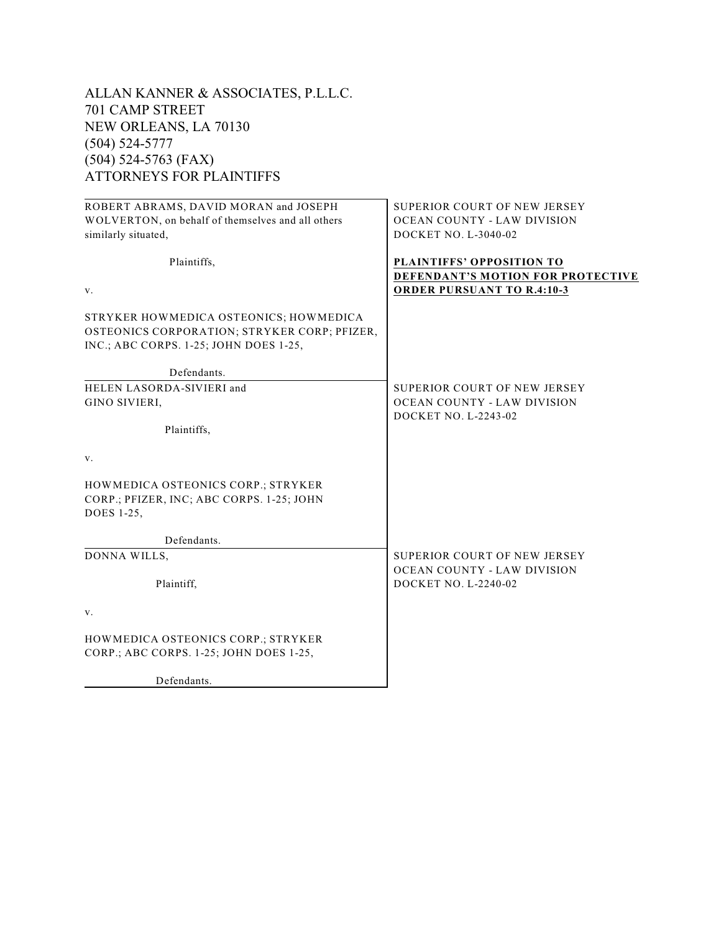| ALLAN KANNER & ASSOCIATES, P.L.L.C.               |                                                                              |
|---------------------------------------------------|------------------------------------------------------------------------------|
| 701 CAMP STREET                                   |                                                                              |
| NEW ORLEANS, LA 70130                             |                                                                              |
| $(504) 524 - 5777$                                |                                                                              |
| $(504)$ 524-5763 (FAX)                            |                                                                              |
| <b>ATTORNEYS FOR PLAINTIFFS</b>                   |                                                                              |
| ROBERT ABRAMS, DAVID MORAN and JOSEPH             | SUPERIOR COURT OF NEW JERSEY                                                 |
| WOLVERTON, on behalf of themselves and all others | OCEAN COUNTY - LAW DIVISION                                                  |
| similarly situated,                               | DOCKET NO. L-3040-02                                                         |
| Plaintiffs,                                       | <b>PLAINTIFFS' OPPOSITION TO</b><br><b>DEFENDANT'S MOTION FOR PROTECTIVE</b> |
| $V_{\cdot}$                                       | <b>ORDER PURSUANT TO R.4:10-3</b>                                            |
| STRYKER HOWMEDICA OSTEONICS; HOWMEDICA            |                                                                              |
| OSTEONICS CORPORATION; STRYKER CORP; PFIZER,      |                                                                              |
| INC.; ABC CORPS. 1-25; JOHN DOES 1-25,            |                                                                              |
| Defendants.                                       |                                                                              |
| <b>HELEM LAGODDA GIVIEDL</b>                      | CHINENIAN CAHNT AE MEW JENGEV                                                |

| SUPERIOR COURT OF NEW JERSEY       |  |  |  |  |
|------------------------------------|--|--|--|--|
| OCEAN COUNTY - LAW DIVISION        |  |  |  |  |
| DOCKET NO. L-2243-02               |  |  |  |  |
|                                    |  |  |  |  |
|                                    |  |  |  |  |
|                                    |  |  |  |  |
|                                    |  |  |  |  |
|                                    |  |  |  |  |
| SUPERIOR COURT OF NEW JERSEY       |  |  |  |  |
| <b>OCEAN COUNTY - LAW DIVISION</b> |  |  |  |  |
| DOCKET NO. L-2240-02               |  |  |  |  |
|                                    |  |  |  |  |
|                                    |  |  |  |  |
|                                    |  |  |  |  |
|                                    |  |  |  |  |

Defendants.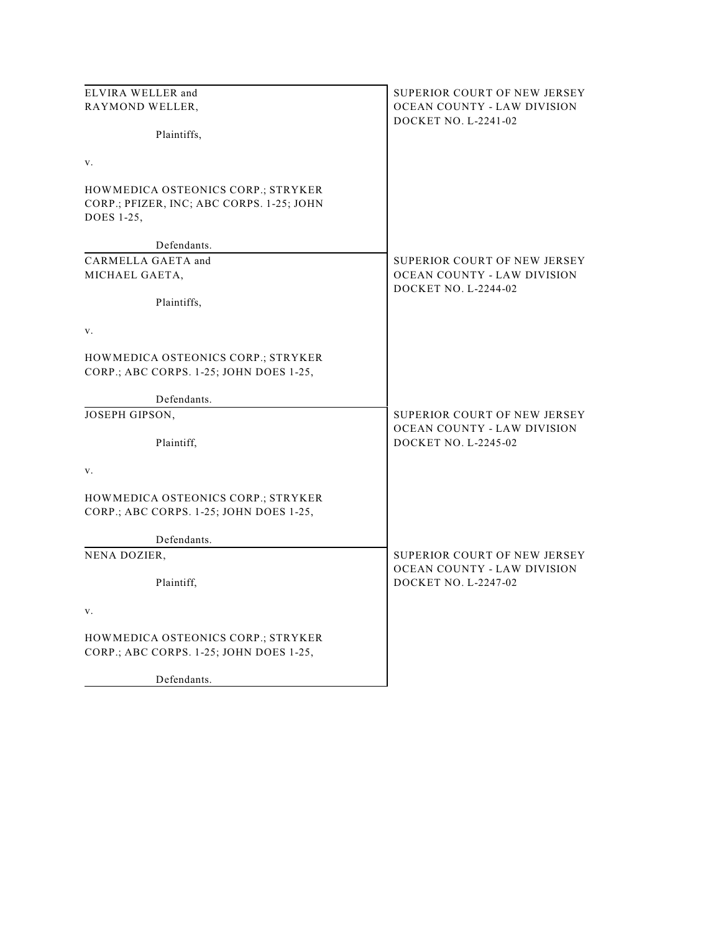| ELVIRA WELLER and                                                             | SUPERIOR COURT OF NEW JERSEY |
|-------------------------------------------------------------------------------|------------------------------|
| RAYMOND WELLER,                                                               | OCEAN COUNTY - LAW DIVISION  |
|                                                                               | DOCKET NO. L-2241-02         |
| Plaintiffs,                                                                   |                              |
| V.                                                                            |                              |
|                                                                               |                              |
| HOWMEDICA OSTEONICS CORP.; STRYKER                                            |                              |
| CORP.; PFIZER, INC; ABC CORPS. 1-25; JOHN                                     |                              |
| DOES 1-25,                                                                    |                              |
| Defendants.                                                                   |                              |
| CARMELLA GAETA and                                                            | SUPERIOR COURT OF NEW JERSEY |
| MICHAEL GAETA,                                                                | OCEAN COUNTY - LAW DIVISION  |
|                                                                               | DOCKET NO. L-2244-02         |
| Plaintiffs,                                                                   |                              |
| V.                                                                            |                              |
|                                                                               |                              |
| HOWMEDICA OSTEONICS CORP.; STRYKER                                            |                              |
| CORP.; ABC CORPS. 1-25; JOHN DOES 1-25,                                       |                              |
|                                                                               |                              |
| Defendants.<br>JOSEPH GIPSON,                                                 | SUPERIOR COURT OF NEW JERSEY |
|                                                                               | OCEAN COUNTY - LAW DIVISION  |
| Plaintiff,                                                                    | DOCKET NO. L-2245-02         |
|                                                                               |                              |
| V.                                                                            |                              |
|                                                                               |                              |
| HOWMEDICA OSTEONICS CORP.; STRYKER<br>CORP.; ABC CORPS. 1-25; JOHN DOES 1-25, |                              |
|                                                                               |                              |
| Defendants.                                                                   |                              |
| NENA DOZIER,                                                                  | SUPERIOR COURT OF NEW JERSEY |
|                                                                               | OCEAN COUNTY - LAW DIVISION  |
| Plaintiff,                                                                    | DOCKET NO. L-2247-02         |
| v.                                                                            |                              |
|                                                                               |                              |
| HOWMEDICA OSTEONICS CORP.; STRYKER                                            |                              |
| CORP.; ABC CORPS. 1-25; JOHN DOES 1-25,                                       |                              |
|                                                                               |                              |
| Defendants.                                                                   |                              |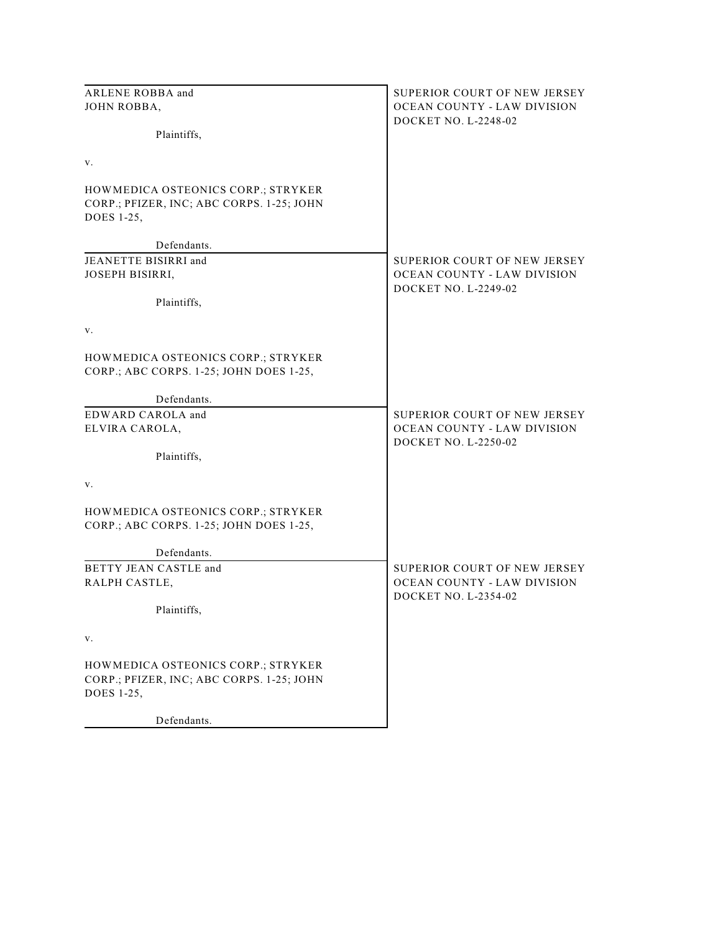| ARLENE ROBBA and                                                                              | SUPERIOR COURT OF NEW JERSEY                                |
|-----------------------------------------------------------------------------------------------|-------------------------------------------------------------|
| JOHN ROBBA,                                                                                   | OCEAN COUNTY - LAW DIVISION                                 |
|                                                                                               | <b>DOCKET NO. L-2248-02</b>                                 |
| Plaintiffs,                                                                                   |                                                             |
| V.                                                                                            |                                                             |
| HOWMEDICA OSTEONICS CORP.; STRYKER<br>CORP.; PFIZER, INC; ABC CORPS. 1-25; JOHN<br>DOES 1-25, |                                                             |
| Defendants.                                                                                   |                                                             |
| JEANETTE BISIRRI and<br>JOSEPH BISIRRI,                                                       | SUPERIOR COURT OF NEW JERSEY<br>OCEAN COUNTY - LAW DIVISION |
| Plaintiffs,                                                                                   | DOCKET NO. L-2249-02                                        |
| v.                                                                                            |                                                             |
| HOWMEDICA OSTEONICS CORP.; STRYKER<br>CORP.; ABC CORPS. 1-25; JOHN DOES 1-25,                 |                                                             |
| Defendants.                                                                                   |                                                             |
| EDWARD CAROLA and                                                                             | SUPERIOR COURT OF NEW JERSEY                                |
| ELVIRA CAROLA,                                                                                | OCEAN COUNTY - LAW DIVISION                                 |
|                                                                                               | DOCKET NO. L-2250-02                                        |
| Plaintiffs,                                                                                   |                                                             |
| v.                                                                                            |                                                             |
| HOWMEDICA OSTEONICS CORP.; STRYKER<br>CORP.; ABC CORPS. 1-25; JOHN DOES 1-25,                 |                                                             |
| Defendants.                                                                                   |                                                             |
| BETTY JEAN CASTLE and                                                                         | SUPERIOR COURT OF NEW JERSEY                                |
| RALPH CASTLE,                                                                                 | OCEAN COUNTY - LAW DIVISION                                 |
| Plaintiffs,                                                                                   | DOCKET NO. L-2354-02                                        |
| V.                                                                                            |                                                             |
| HOWMEDICA OSTEONICS CORP.; STRYKER                                                            |                                                             |
| CORP.; PFIZER, INC; ABC CORPS. 1-25; JOHN<br>DOES 1-25,                                       |                                                             |
| Defendants.                                                                                   |                                                             |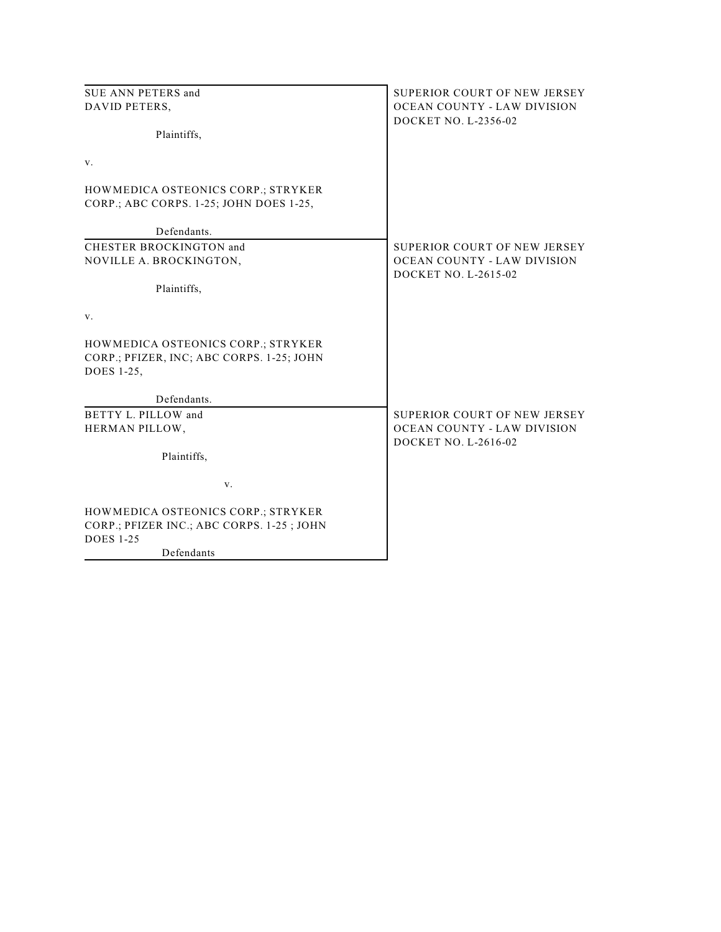| SUE ANN PETERS and                                                                            | SUPERIOR COURT OF NEW JERSEY                               |
|-----------------------------------------------------------------------------------------------|------------------------------------------------------------|
| DAVID PETERS,                                                                                 | OCEAN COUNTY - LAW DIVISION                                |
|                                                                                               | DOCKET NO. L-2356-02                                       |
| Plaintiffs,                                                                                   |                                                            |
| V.                                                                                            |                                                            |
| HOWMEDICA OSTEONICS CORP.; STRYKER                                                            |                                                            |
| CORP.; ABC CORPS. 1-25; JOHN DOES 1-25,                                                       |                                                            |
| Defendants.                                                                                   |                                                            |
| CHESTER BROCKINGTON and                                                                       | SUPERIOR COURT OF NEW JERSEY                               |
| NOVILLE A. BROCKINGTON,                                                                       | OCEAN COUNTY - LAW DIVISION<br><b>DOCKET NO. L-2615-02</b> |
| Plaintiffs,                                                                                   |                                                            |
| V.                                                                                            |                                                            |
| HOWMEDICA OSTEONICS CORP.; STRYKER<br>CORP.; PFIZER, INC; ABC CORPS. 1-25; JOHN<br>DOES 1-25, |                                                            |
| Defendants.                                                                                   |                                                            |
| BETTY L. PILLOW and                                                                           | SUPERIOR COURT OF NEW JERSEY                               |
| HERMAN PILLOW,                                                                                | <b>OCEAN COUNTY - LAW DIVISION</b>                         |
| Plaintiffs,                                                                                   | DOCKET NO. L-2616-02                                       |
| V.                                                                                            |                                                            |
| HOWMEDICA OSTEONICS CORP.; STRYKER                                                            |                                                            |
| CORP.; PFIZER INC.; ABC CORPS. 1-25; JOHN<br><b>DOES 1-25</b>                                 |                                                            |
| Defendants                                                                                    |                                                            |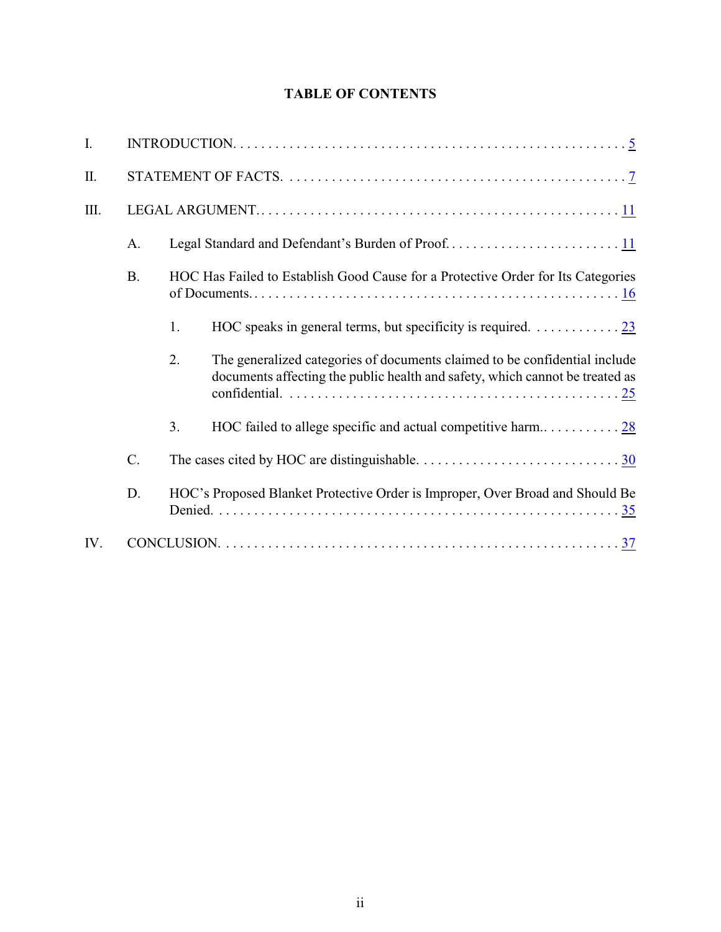# **TABLE OF CONTENTS**

| $\mathbf{I}$ . |           |    |                                                                                                                                                            |
|----------------|-----------|----|------------------------------------------------------------------------------------------------------------------------------------------------------------|
| Π.             |           |    |                                                                                                                                                            |
| III.           |           |    |                                                                                                                                                            |
|                | A.        |    |                                                                                                                                                            |
|                | <b>B.</b> |    | HOC Has Failed to Establish Good Cause for a Protective Order for Its Categories                                                                           |
|                |           | 1. |                                                                                                                                                            |
|                |           | 2. | The generalized categories of documents claimed to be confidential include<br>documents affecting the public health and safety, which cannot be treated as |
|                |           | 3. |                                                                                                                                                            |
|                | C.        |    |                                                                                                                                                            |
|                | D.        |    | HOC's Proposed Blanket Protective Order is Improper, Over Broad and Should Be                                                                              |
| IV.            |           |    |                                                                                                                                                            |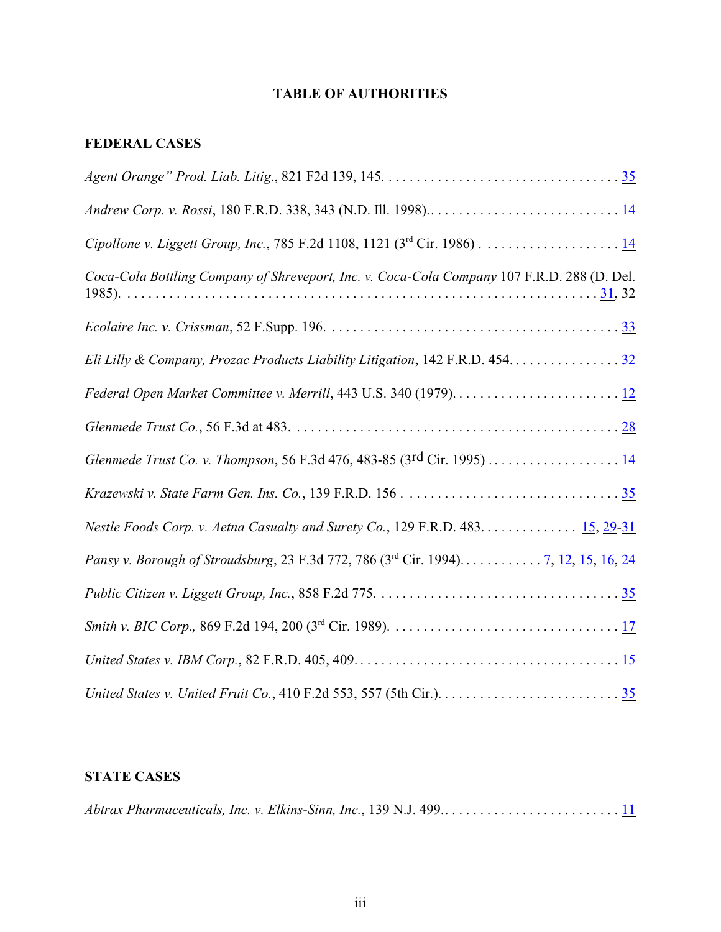# **TABLE OF AUTHORITIES**

# **FEDERAL CASES**

| Coca-Cola Bottling Company of Shreveport, Inc. v. Coca-Cola Company 107 F.R.D. 288 (D. Del. |
|---------------------------------------------------------------------------------------------|
|                                                                                             |
| Eli Lilly & Company, Prozac Products Liability Litigation, 142 F.R.D. 454. 32               |
|                                                                                             |
|                                                                                             |
|                                                                                             |
|                                                                                             |
| Nestle Foods Corp. v. Aetna Casualty and Surety Co., 129 F.R.D. 483 15, 29-31               |
| Pansy v. Borough of Stroudsburg, 23 F.3d 772, 786 (3rd Cir. 1994) <u>7, 12, 15, 16, 24</u>  |
|                                                                                             |
|                                                                                             |
|                                                                                             |
|                                                                                             |

# **STATE CASES**

|--|--|--|--|--|--|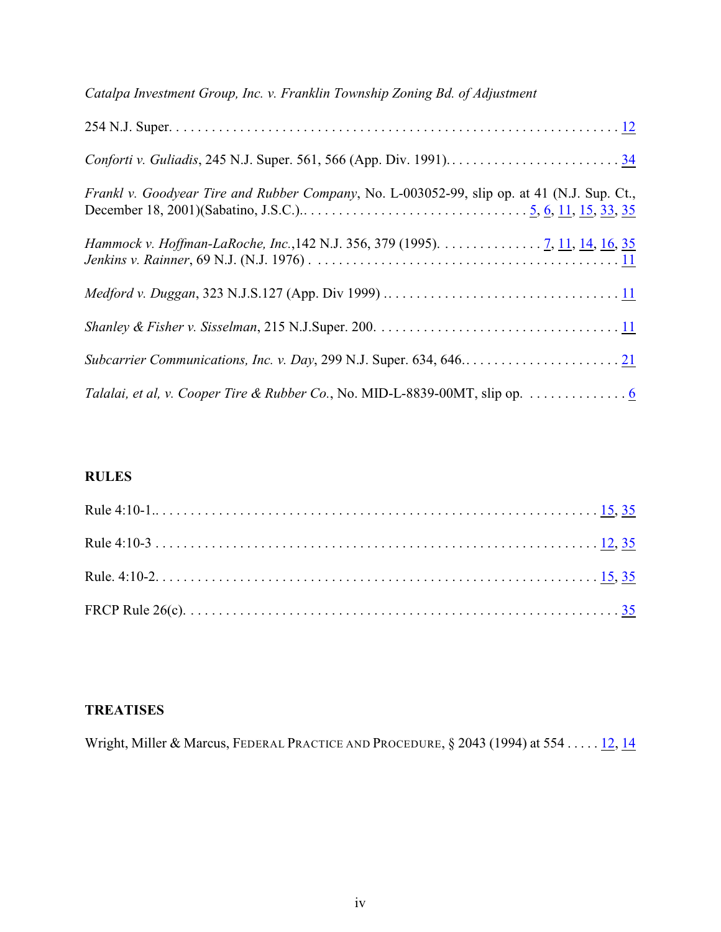| Catalpa Investment Group, Inc. v. Franklin Township Zoning Bd. of Adjustment                |
|---------------------------------------------------------------------------------------------|
|                                                                                             |
|                                                                                             |
| Frankl v. Goodyear Tire and Rubber Company, No. L-003052-99, slip op. at 41 (N.J. Sup. Ct., |
| Hammock v. Hoffman-LaRoche, Inc., 142 N.J. 356, 379 (1995). 7, 11, 14, 16, 35               |
|                                                                                             |
|                                                                                             |
|                                                                                             |
| Talalai, et al, v. Cooper Tire & Rubber Co., No. MID-L-8839-00MT, slip op. 6                |

# **RULES**

# **TREATISES**

| Wright, Miller & Marcus, FEDERAL PRACTICE AND PROCEDURE, $\S 2043$ (1994) at 554 $\underline{12}$ , $\underline{14}$ |  |  |  |
|----------------------------------------------------------------------------------------------------------------------|--|--|--|
|                                                                                                                      |  |  |  |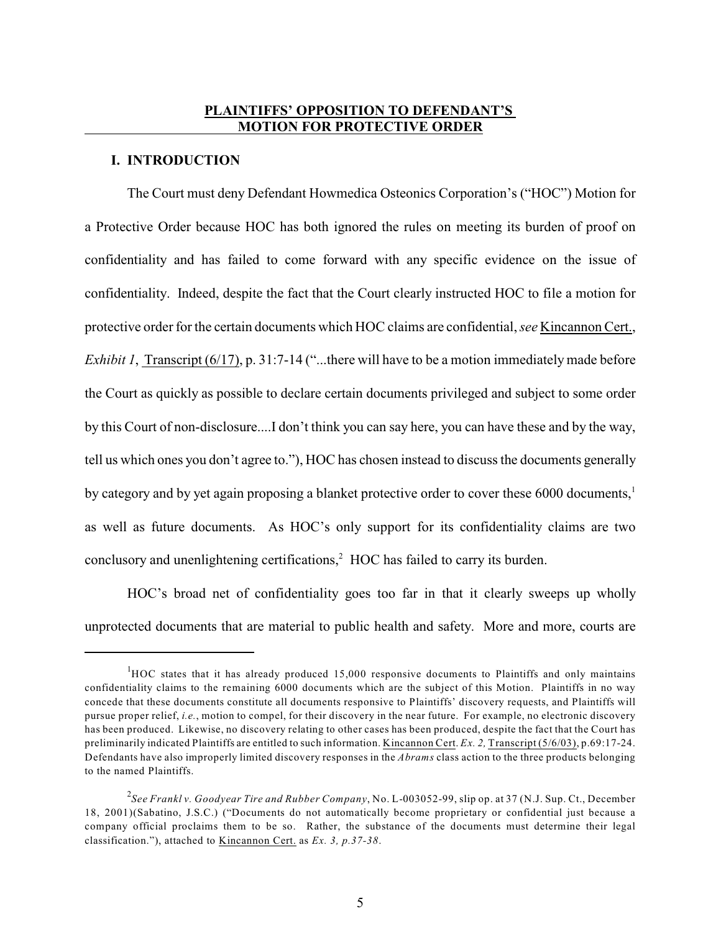### **PLAINTIFFS' OPPOSITION TO DEFENDANT'S MOTION FOR PROTECTIVE ORDER**

#### <span id="page-7-0"></span>**I. INTRODUCTION**

The Court must deny Defendant Howmedica Osteonics Corporation's ("HOC") Motion for a Protective Order because HOC has both ignored the rules on meeting its burden of proof on confidentiality and has failed to come forward with any specific evidence on the issue of confidentiality. Indeed, despite the fact that the Court clearly instructed HOC to file a motion for protective order for the certain documents which HOC claims are confidential, *see* Kincannon Cert., *Exhibit 1*, Transcript (6/17), p. 31:7-14 ("...there will have to be a motion immediately made before the Court as quickly as possible to declare certain documents privileged and subject to some order by this Court of non-disclosure....I don't think you can say here, you can have these and by the way, tell us which ones you don't agree to."), HOC has chosen instead to discuss the documents generally by category and by yet again proposing a blanket protective order to cover these 6000 documents,<sup>1</sup> as well as future documents. As HOC's only support for its confidentiality claims are two conclusory and unenlightening certifications,<sup>2</sup> HOC has failed to carry its burden.

HOC's broad net of confidentiality goes too far in that it clearly sweeps up wholly unprotected documents that are material to public health and safety. More and more, courts are

 ${}^{1}$ HOC states that it has already produced 15,000 responsive documents to Plaintiffs and only maintains confidentiality claims to the remaining 6000 documents which are the subject of this Motion. Plaintiffs in no way concede that these documents constitute all documents responsive to Plaintiffs' discovery requests, and Plaintiffs will pursue proper relief, *i.e.*, motion to compel, for their discovery in the near future. For example, no electronic discovery has been produced. Likewise, no discovery relating to other cases has been produced, despite the fact that the Court has preliminarily indicated Plaintiffs are entitled to such information. Kincannon Cert. *Ex. 2,* Transcript (5/6/03), p.69:17-24. Defendants have also improperly limited discovery responses in the *Abrams* class action to the three products belonging to the named Plaintiffs.

<span id="page-7-1"></span>*See Frankl v. Goodyear Tire and Rubber Company*, No. L-003052-99, slip op. at 37 (N.J. Sup. Ct., December 2 18, 2001)(Sabatino, J.S.C.) ("Documents do not automatically become proprietary or confidential just because a company official proclaims them to be so. Rather, the substance of the documents must determine their legal classification."), attached to Kincannon Cert. as *Ex. 3, p.37-38*.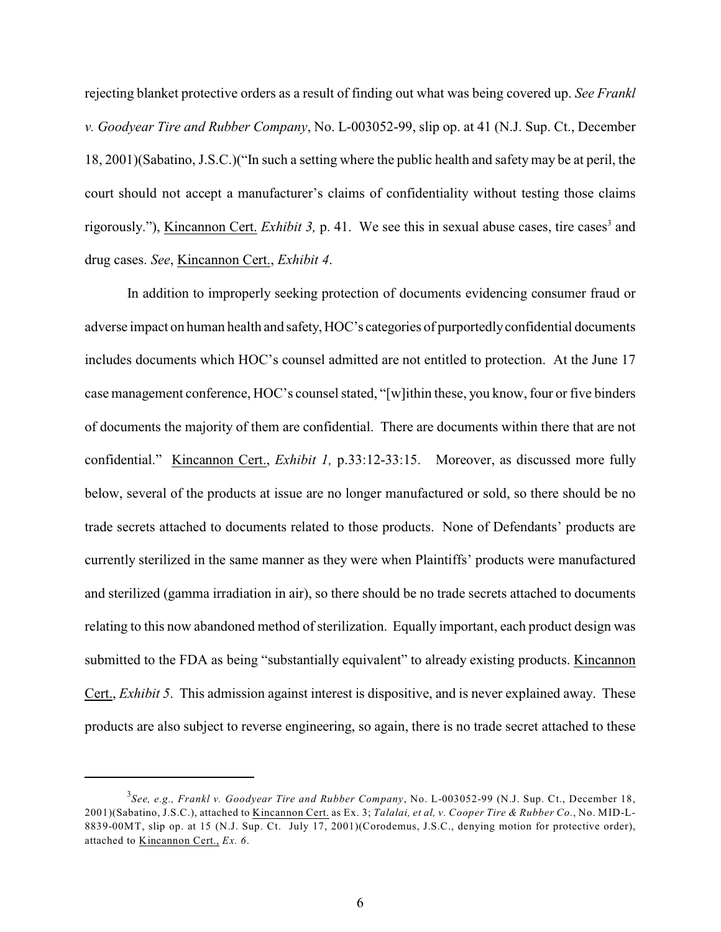<span id="page-8-0"></span>rejecting blanket protective orders as a result of finding out what was being covered up. *See Frankl v. Goodyear Tire and Rubber Company*, No. L-003052-99, slip op. at 41 (N.J. Sup. Ct., December 18, 2001)(Sabatino, J.S.C.)("In such a setting where the public health and safety may be at peril, the court should not accept a manufacturer's claims of confidentiality without testing those claims rigorously."), Kincannon Cert. *Exhibit 3*, p. 41. We see this in sexual abuse cases, tire cases<sup>3</sup> and drug cases. *See*, Kincannon Cert., *Exhibit 4*.

In addition to improperly seeking protection of documents evidencing consumer fraud or adverse impact on human health and safety, HOC's categories of purportedly confidential documents includes documents which HOC's counsel admitted are not entitled to protection. At the June 17 case management conference, HOC's counsel stated, "[w]ithin these, you know, four or five binders of documents the majority of them are confidential. There are documents within there that are not confidential." Kincannon Cert., *Exhibit 1,* p.33:12-33:15. Moreover, as discussed more fully below, several of the products at issue are no longer manufactured or sold, so there should be no trade secrets attached to documents related to those products. None of Defendants' products are currently sterilized in the same manner as they were when Plaintiffs' products were manufactured and sterilized (gamma irradiation in air), so there should be no trade secrets attached to documents relating to this now abandoned method of sterilization. Equally important, each product design was submitted to the FDA as being "substantially equivalent" to already existing products. Kincannon Cert., *Exhibit 5*. This admission against interest is dispositive, and is never explained away. These products are also subject to reverse engineering, so again, there is no trade secret attached to these

<span id="page-8-1"></span>*See, e.g., Frankl v. Goodyear Tire and Rubber Company*, No. L-003052-99 (N.J. Sup. Ct., December 18, <sup>3</sup> 2001)(Sabatino, J.S.C.), attached to Kincannon Cert. as Ex. 3; *Talalai, et al, v. Cooper Tire & Rubber Co.*, No. MID-L-8839-00MT, slip op. at 15 (N.J. Sup. Ct. July 17, 2001)(Corodemus, J.S.C., denying motion for protective order), attached to Kincannon Cert., *Ex. 6*.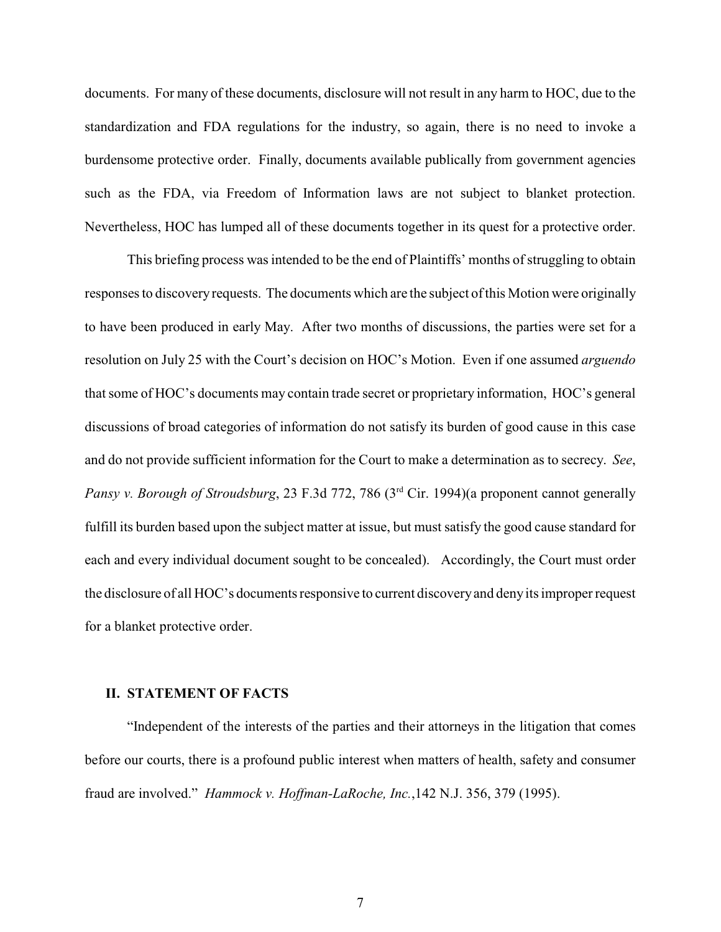documents. For many of these documents, disclosure will not result in any harm to HOC, due to the standardization and FDA regulations for the industry, so again, there is no need to invoke a burdensome protective order. Finally, documents available publically from government agencies such as the FDA, via Freedom of Information laws are not subject to blanket protection. Nevertheless, HOC has lumped all of these documents together in its quest for a protective order.

This briefing process was intended to be the end of Plaintiffs' months of struggling to obtain responses to discovery requests. The documents which are the subject ofthis Motion were originally to have been produced in early May. After two months of discussions, the parties were set for a resolution on July 25 with the Court's decision on HOC's Motion. Even if one assumed *arguendo* that some of HOC's documents may contain trade secret or proprietary information, HOC's general discussions of broad categories of information do not satisfy its burden of good cause in this case and do not provide sufficient information for the Court to make a determination as to secrecy. *See*, *Pansy v. Borough of Stroudsburg*, 23 F.3d 772, 786 (3<sup>rd</sup> Cir. 1994)(a proponent cannot generally fulfill its burden based upon the subject matter at issue, but must satisfy the good cause standard for each and every individual document sought to be concealed). Accordingly, the Court must order the disclosure of all HOC's documentsresponsive to current discoveryand deny its improper request for a blanket protective order.

#### <span id="page-9-1"></span><span id="page-9-0"></span>**II. STATEMENT OF FACTS**

<span id="page-9-2"></span>"Independent of the interests of the parties and their attorneys in the litigation that comes before our courts, there is a profound public interest when matters of health, safety and consumer fraud are involved." *Hammock v. Hoffman-LaRoche, Inc.*,142 N.J. 356, 379 (1995).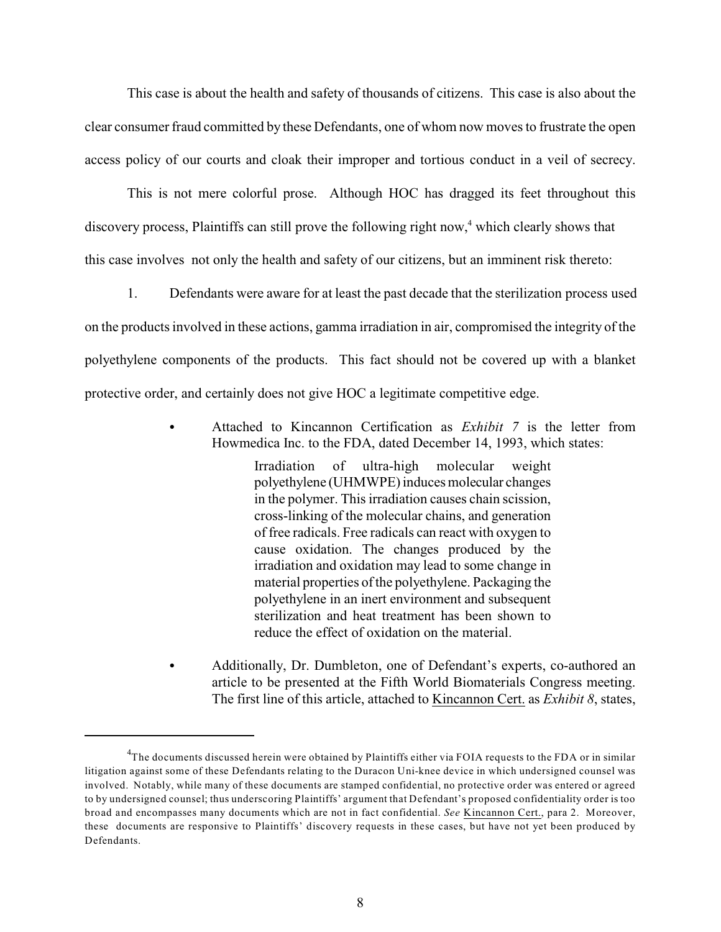This case is about the health and safety of thousands of citizens. This case is also about the clear consumer fraud committed by these Defendants, one of whom now moves to frustrate the open access policy of our courts and cloak their improper and tortious conduct in a veil of secrecy.

This is not mere colorful prose. Although HOC has dragged its feet throughout this discovery process, Plaintiffs can still prove the following right now, $4$  which clearly shows that this case involves not only the health and safety of our citizens, but an imminent risk thereto:

1. Defendants were aware for at least the past decade that the sterilization process used on the products involved in these actions, gamma irradiation in air, compromised the integrity of the polyethylene components of the products. This fact should not be covered up with a blanket protective order, and certainly does not give HOC a legitimate competitive edge.

> C Attached to Kincannon Certification as *Exhibit 7* is the letter from Howmedica Inc. to the FDA, dated December 14, 1993, which states:

> > Irradiation of ultra-high molecular weight polyethylene (UHMWPE) induces molecular changes in the polymer. This irradiation causes chain scission, cross-linking of the molecular chains, and generation of free radicals. Free radicals can react with oxygen to cause oxidation. The changes produced by the irradiation and oxidation may lead to some change in material properties of the polyethylene. Packaging the polyethylene in an inert environment and subsequent sterilization and heat treatment has been shown to reduce the effect of oxidation on the material.

Additionally, Dr. Dumbleton, one of Defendant's experts, co-authored an article to be presented at the Fifth World Biomaterials Congress meeting. The first line of this article, attached to Kincannon Cert. as *Exhibit 8*, states,

 ${}^{4}$ The documents discussed herein were obtained by Plaintiffs either via FOIA requests to the FDA or in similar litigation against some of these Defendants relating to the Duracon Uni-knee device in which undersigned counsel was involved. Notably, while many of these documents are stamped confidential, no protective order was entered or agreed to by undersigned counsel; thus underscoring Plaintiffs' argument that Defendant's proposed confidentiality order is too broad and encompasses many documents which are not in fact confidential. *See* Kincannon Cert., para 2. Moreover, these documents are responsive to Plaintiffs' discovery requests in these cases, but have not yet been produced by Defendants.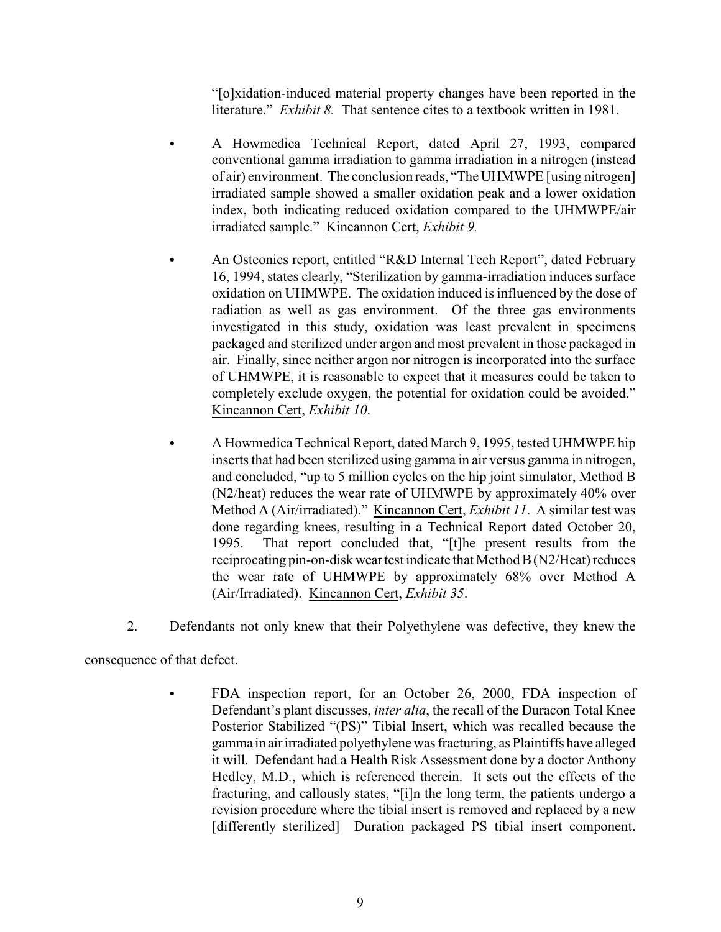"[o]xidation-induced material property changes have been reported in the literature." *Exhibit 8*. That sentence cites to a textbook written in 1981.

- A Howmedica Technical Report, dated April 27, 1993, compared conventional gamma irradiation to gamma irradiation in a nitrogen (instead of air) environment. The conclusion reads, "The UHMWPE [using nitrogen] irradiated sample showed a smaller oxidation peak and a lower oxidation index, both indicating reduced oxidation compared to the UHMWPE/air irradiated sample." Kincannon Cert, *Exhibit 9.*
- An Osteonics report, entitled "R&D Internal Tech Report", dated February 16, 1994, states clearly, "Sterilization by gamma-irradiation induces surface oxidation on UHMWPE. The oxidation induced is influenced by the dose of radiation as well as gas environment. Of the three gas environments investigated in this study, oxidation was least prevalent in specimens packaged and sterilized under argon and most prevalent in those packaged in air. Finally, since neither argon nor nitrogen is incorporated into the surface of UHMWPE, it is reasonable to expect that it measures could be taken to completely exclude oxygen, the potential for oxidation could be avoided." Kincannon Cert, *Exhibit 10*.
- A Howmedica Technical Report, dated March 9, 1995, tested UHMWPE hip inserts that had been sterilized using gamma in air versus gamma in nitrogen, and concluded, "up to 5 million cycles on the hip joint simulator, Method B (N2/heat) reduces the wear rate of UHMWPE by approximately 40% over Method A (Air/irradiated)." Kincannon Cert, *Exhibit 11*. A similar test was done regarding knees, resulting in a Technical Report dated October 20, 1995. That report concluded that, "[t]he present results from the reciprocating pin-on-disk wear test indicate that Method B (N2/Heat) reduces the wear rate of UHMWPE by approximately 68% over Method A (Air/Irradiated). Kincannon Cert, *Exhibit 35*.
- 2. Defendants not only knew that their Polyethylene was defective, they knew the

consequence of that defect.

FDA inspection report, for an October 26, 2000, FDA inspection of Defendant's plant discusses, *inter alia*, the recall of the Duracon Total Knee Posterior Stabilized "(PS)" Tibial Insert, which was recalled because the gamma in air irradiated polyethylene was fracturing, as Plaintiffs have alleged it will. Defendant had a Health Risk Assessment done by a doctor Anthony Hedley, M.D., which is referenced therein. It sets out the effects of the fracturing, and callously states, "[i]n the long term, the patients undergo a revision procedure where the tibial insert is removed and replaced by a new [differently sterilized] Duration packaged PS tibial insert component.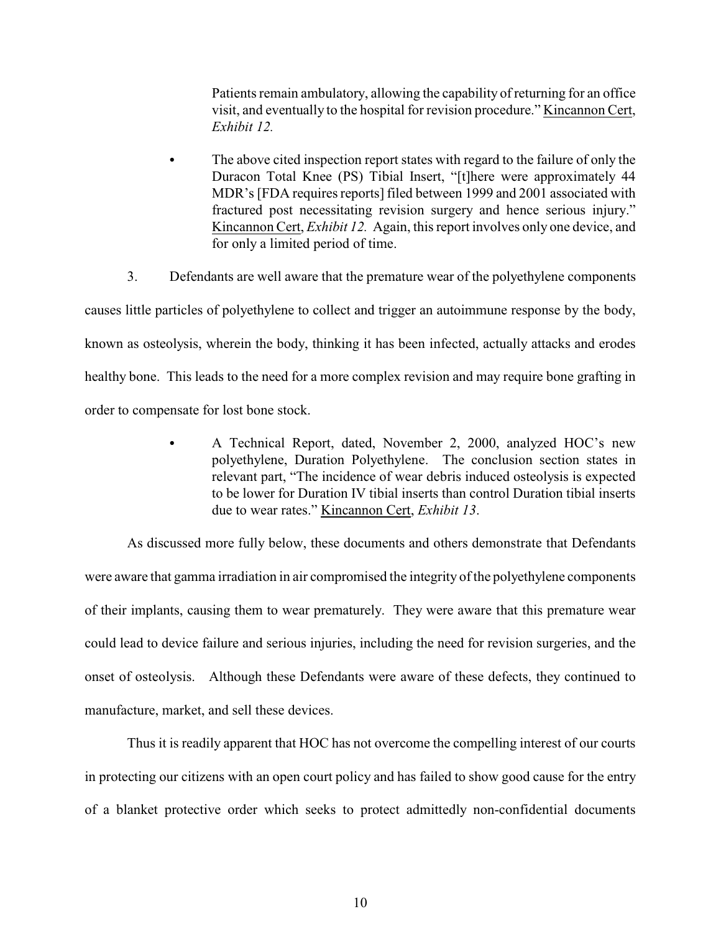Patients remain ambulatory, allowing the capability of returning for an office visit, and eventually to the hospital for revision procedure." Kincannon Cert, *Exhibit 12.*

- The above cited inspection report states with regard to the failure of only the Duracon Total Knee (PS) Tibial Insert, "[t]here were approximately 44 MDR's [FDA requires reports] filed between 1999 and 2001 associated with fractured post necessitating revision surgery and hence serious injury." Kincannon Cert, *Exhibit 12.* Again, this report involves only one device, and for only a limited period of time.
- 3. Defendants are well aware that the premature wear of the polyethylene components

causes little particles of polyethylene to collect and trigger an autoimmune response by the body, known as osteolysis, wherein the body, thinking it has been infected, actually attacks and erodes healthy bone. This leads to the need for a more complex revision and may require bone grafting in order to compensate for lost bone stock.

> A Technical Report, dated, November 2, 2000, analyzed HOC's new polyethylene, Duration Polyethylene. The conclusion section states in relevant part, "The incidence of wear debris induced osteolysis is expected to be lower for Duration IV tibial inserts than control Duration tibial inserts due to wear rates." Kincannon Cert, *Exhibit 13*.

As discussed more fully below, these documents and others demonstrate that Defendants were aware that gamma irradiation in air compromised the integrity of the polyethylene components of their implants, causing them to wear prematurely. They were aware that this premature wear could lead to device failure and serious injuries, including the need for revision surgeries, and the onset of osteolysis. Although these Defendants were aware of these defects, they continued to manufacture, market, and sell these devices.

Thus it is readily apparent that HOC has not overcome the compelling interest of our courts in protecting our citizens with an open court policy and has failed to show good cause for the entry of a blanket protective order which seeks to protect admittedly non-confidential documents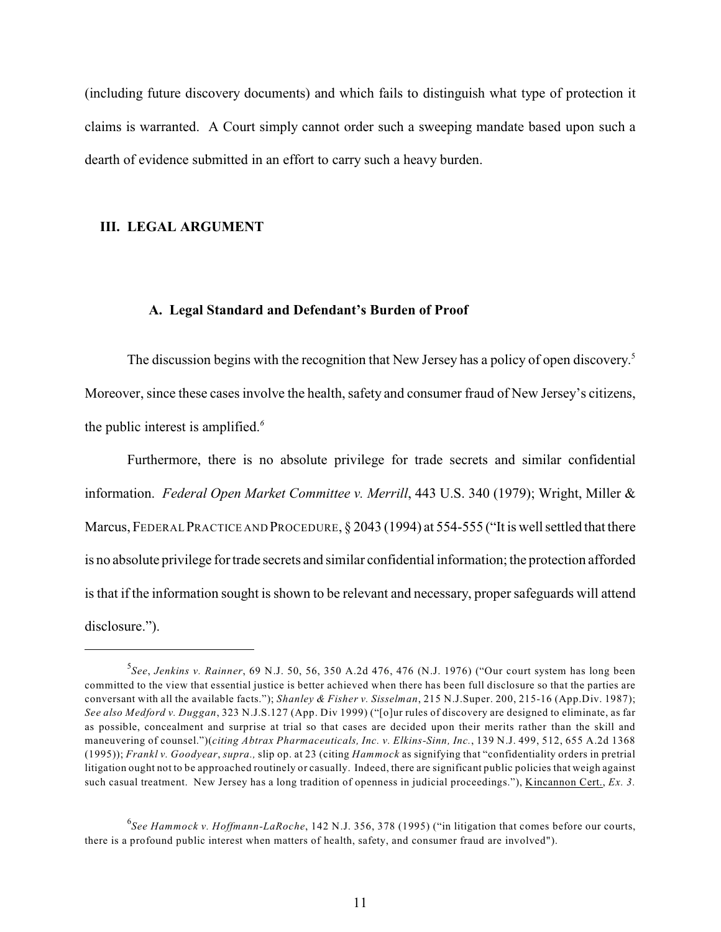(including future discovery documents) and which fails to distinguish what type of protection it claims is warranted. A Court simply cannot order such a sweeping mandate based upon such a dearth of evidence submitted in an effort to carry such a heavy burden.

### <span id="page-13-0"></span>**III. LEGAL ARGUMENT**

#### <span id="page-13-9"></span><span id="page-13-1"></span>**A. Legal Standard and Defendant's Burden of Proof**

The discussion begins with the recognition that New Jersey has a policy of open discovery.<sup>5</sup> Moreover, since these cases involve the health, safety and consumer fraud of New Jersey's citizens, the public interest is amplified.*<sup>6</sup>*

<span id="page-13-2"></span>Furthermore, there is no absolute privilege for trade secrets and similar confidential information. *Federal Open Market Committee v. Merrill*, 443 U.S. 340 (1979); Wright, Miller & Marcus, FEDERAL PRACTICE AND PROCEDURE, § 2043 (1994) at 554-555 ("It is well settled that there is no absolute privilege for trade secrets and similar confidential information; the protection afforded is that if the information sought is shown to be relevant and necessary, proper safeguards will attend disclosure.").

<span id="page-13-8"></span><span id="page-13-7"></span><span id="page-13-6"></span><span id="page-13-3"></span><sup>&</sup>lt;sup>5</sup> See, Jenkins v. Rainner, 69 N.J. 50, 56, 350 A.2d 476, 476 (N.J. 1976) ("Our court system has long been committed to the view that essential justice is better achieved when there has been full disclosure so that the parties are conversant with all the available facts."); *Shanley & Fisher v. Sisselman*, 215 N.J.Super. 200, 215-16 (App.Div. 1987); *See also Medford v. Duggan*, 323 N.J.S.127 (App. Div 1999) ("[o]ur rules of discovery are designed to eliminate, as far as possible, concealment and surprise at trial so that cases are decided upon their merits rather than the skill and maneuvering of counsel.")(*citing Abtrax Pharmaceuticals, Inc. v. Elkins-Sinn, Inc.*, 139 N.J. 499, 512, 655 A.2d 1368 (1995)); *Frankl v. Goodyear*, *supra.,* slip op. at 23 (citing *Hammock* as signifying that "confidentiality orders in pretrial litigation ought not to be approached routinely or casually. Indeed, there are significant public policies that weigh against such casual treatment. New Jersey has a long tradition of openness in judicial proceedings."), Kincannon Cert., *Ex. 3.*

<span id="page-13-5"></span><span id="page-13-4"></span>*See Hammock v. Hoffmann-LaRoche*, 142 N.J. 356, 378 (1995) ("in litigation that comes before our courts, <sup>6</sup> there is a profound public interest when matters of health, safety, and consumer fraud are involved").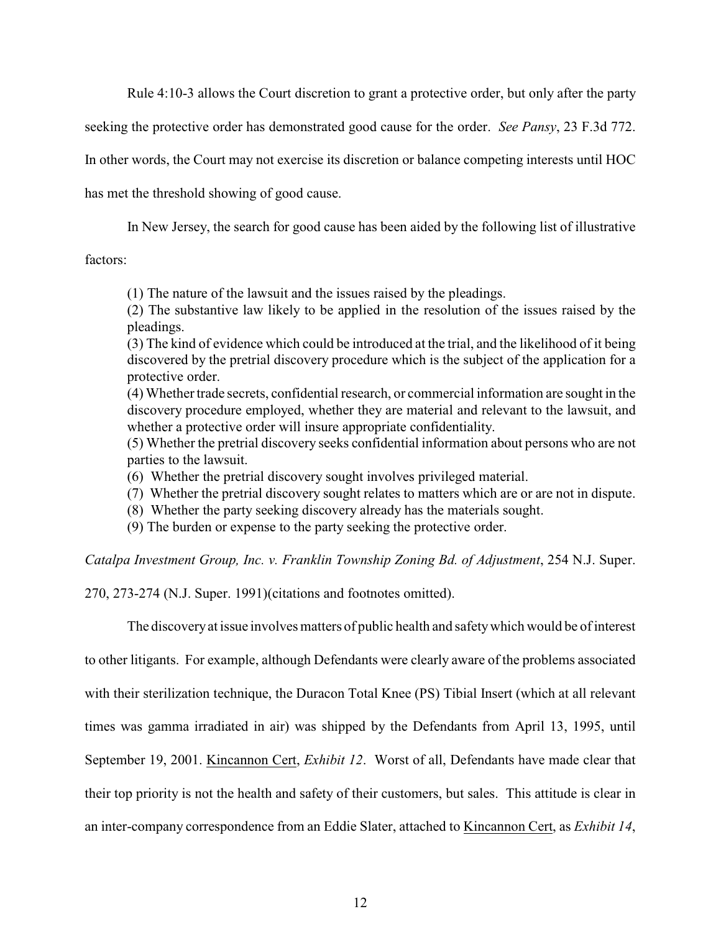<span id="page-14-2"></span><span id="page-14-0"></span>Rule 4:10-3 allows the Court discretion to grant a protective order, but only after the party

seeking the protective order has demonstrated good cause for the order. *See Pansy*, 23 F.3d 772.

In other words, the Court may not exercise its discretion or balance competing interests until HOC

has met the threshold showing of good cause.

In New Jersey, the search for good cause has been aided by the following list of illustrative

factors:

(1) The nature of the lawsuit and the issues raised by the pleadings.

(2) The substantive law likely to be applied in the resolution of the issues raised by the pleadings.

(3) The kind of evidence which could be introduced at the trial, and the likelihood of it being discovered by the pretrial discovery procedure which is the subject of the application for a protective order.

(4) Whether trade secrets, confidential research, or commercial information are sought in the discovery procedure employed, whether they are material and relevant to the lawsuit, and whether a protective order will insure appropriate confidentiality.

(5) Whether the pretrial discovery seeks confidential information about persons who are not parties to the lawsuit.

- (6) Whether the pretrial discovery sought involves privileged material.
- (7) Whether the pretrial discovery sought relates to matters which are or are not in dispute.
- (8) Whether the party seeking discovery already has the materials sought.
- (9) The burden or expense to the party seeking the protective order.

<span id="page-14-1"></span>*Catalpa Investment Group, Inc. v. Franklin Township Zoning Bd. of Adjustment*, 254 N.J. Super.

270, 273-274 (N.J. Super. 1991)(citations and footnotes omitted).

The discoveryat issue involves matters of public health and safety which would be of interest to other litigants. For example, although Defendants were clearly aware of the problems associated with their sterilization technique, the Duracon Total Knee (PS) Tibial Insert (which at all relevant times was gamma irradiated in air) was shipped by the Defendants from April 13, 1995, until September 19, 2001. Kincannon Cert, *Exhibit 12*. Worst of all, Defendants have made clear that their top priority is not the health and safety of their customers, but sales. This attitude is clear in an inter-company correspondence from an Eddie Slater, attached to Kincannon Cert, as *Exhibit 14*,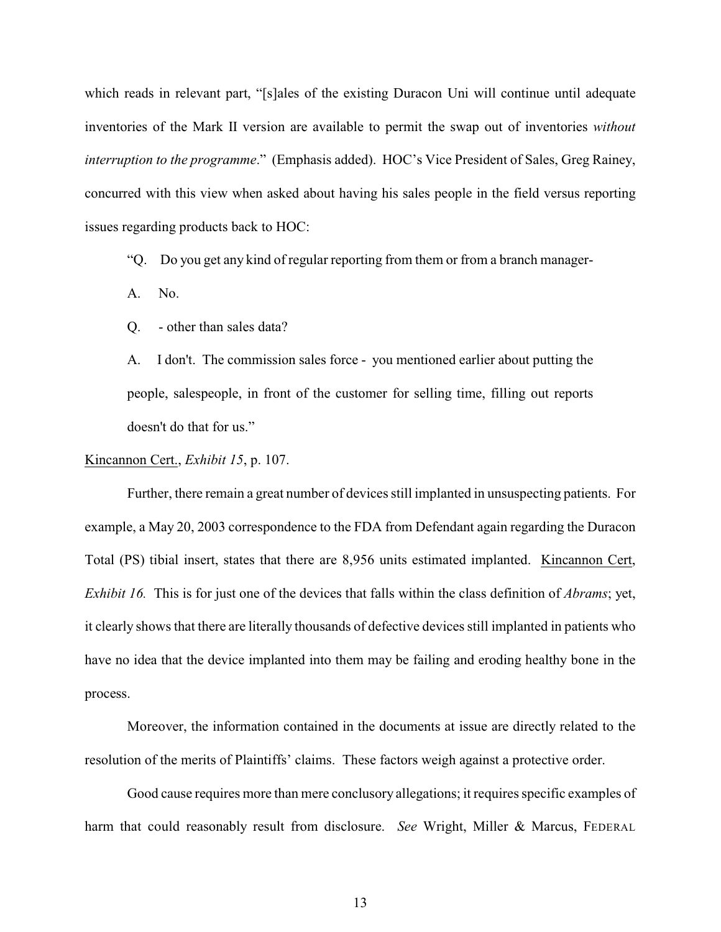which reads in relevant part, "[s]ales of the existing Duracon Uni will continue until adequate inventories of the Mark II version are available to permit the swap out of inventories *without interruption to the programme*." (Emphasis added). HOC's Vice President of Sales, Greg Rainey, concurred with this view when asked about having his sales people in the field versus reporting issues regarding products back to HOC:

"Q. Do you get any kind of regular reporting from them or from a branch manager-

A. No.

Q. - other than sales data?

A. I don't. The commission sales force - you mentioned earlier about putting the people, salespeople, in front of the customer for selling time, filling out reports doesn't do that for us."

Kincannon Cert., *Exhibit 15*, p. 107.

Further, there remain a great number of devices still implanted in unsuspecting patients. For example, a May 20, 2003 correspondence to the FDA from Defendant again regarding the Duracon Total (PS) tibial insert, states that there are 8,956 units estimated implanted. Kincannon Cert, *Exhibit 16.* This is for just one of the devices that falls within the class definition of *Abrams*; yet, it clearly shows that there are literally thousands of defective devices still implanted in patients who have no idea that the device implanted into them may be failing and eroding healthy bone in the process.

Moreover, the information contained in the documents at issue are directly related to the resolution of the merits of Plaintiffs' claims. These factors weigh against a protective order.

<span id="page-15-0"></span>Good cause requires more than mere conclusory allegations; it requires specific examples of harm that could reasonably result from disclosure. *See* Wright, Miller & Marcus, FEDERAL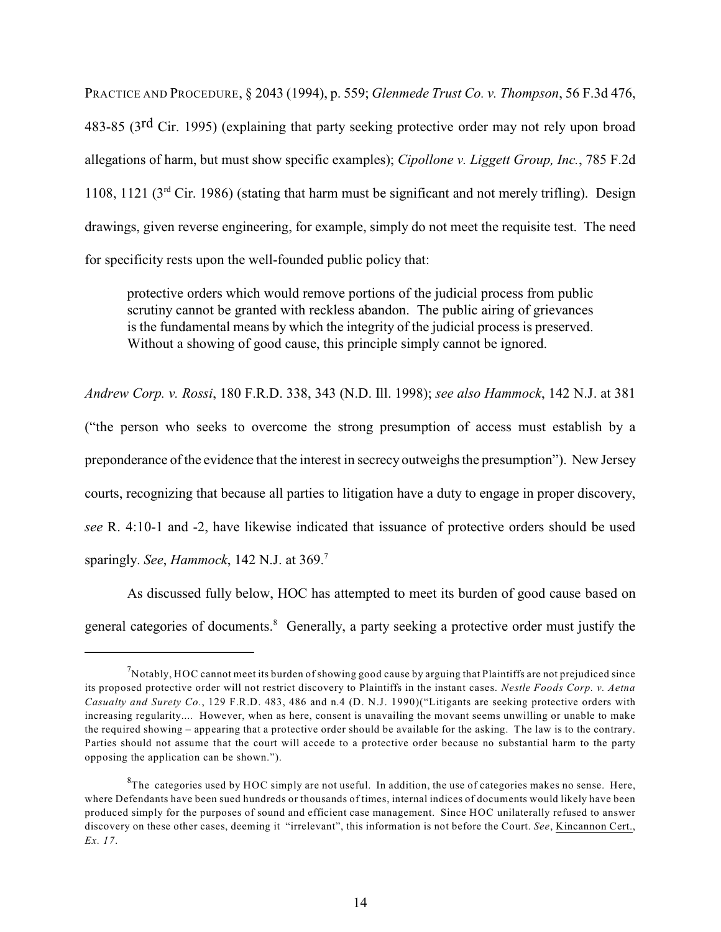<span id="page-16-2"></span>PRACTICE AND PROCEDURE, § 2043 (1994), p. 559; *Glenmede Trust Co. v. Thompson*, 56 F.3d 476, 483-85 (3<sup>rd</sup> Cir. 1995) (explaining that party seeking protective order may not rely upon broad allegations of harm, but must show specific examples); *Cipollone v. Liggett Group, Inc.*, 785 F.2d 1108, 1121 ( $3<sup>rd</sup>$  Cir. 1986) (stating that harm must be significant and not merely trifling). Design drawings, given reverse engineering, for example, simply do not meet the requisite test. The need for specificity rests upon the well-founded public policy that:

<span id="page-16-4"></span><span id="page-16-1"></span>protective orders which would remove portions of the judicial process from public scrutiny cannot be granted with reckless abandon. The public airing of grievances is the fundamental means by which the integrity of the judicial process is preserved. Without a showing of good cause, this principle simply cannot be ignored.

<span id="page-16-0"></span>*Andrew Corp. v. Rossi*, 180 F.R.D. 338, 343 (N.D. Ill. 1998); *see also Hammock*, 142 N.J. at 381

("the person who seeks to overcome the strong presumption of access must establish by a preponderance of the evidence that the interest in secrecy outweighs the presumption"). New Jersey courts, recognizing that because all parties to litigation have a duty to engage in proper discovery, *see* R. 4:10-1 and -2, have likewise indicated that issuance of protective orders should be used sparingly. *See*, *Hammock*, 142 N.J. at 369.<sup>7</sup>

<span id="page-16-5"></span>As discussed fully below, HOC has attempted to meet its burden of good cause based on general categories of documents.<sup>8</sup> Generally, a party seeking a protective order must justify the

<span id="page-16-3"></span> $^7$ Notably, HOC cannot meet its burden of showing good cause by arguing that Plaintiffs are not prejudiced since its proposed protective order will not restrict discovery to Plaintiffs in the instant cases. *Nestle Foods Corp. v. Aetna Casualty and Surety Co.*, 129 F.R.D. 483, 486 and n.4 (D. N.J. 1990)("Litigants are seeking protective orders with increasing regularity.... However, when as here, consent is unavailing the movant seems unwilling or unable to make the required showing – appearing that a protective order should be available for the asking. The law is to the contrary. Parties should not assume that the court will accede to a protective order because no substantial harm to the party opposing the application can be shown.").

 ${}^{8}$ The categories used by HOC simply are not useful. In addition, the use of categories makes no sense. Here, where Defendants have been sued hundreds or thousands of times, internal indices of documents would likely have been produced simply for the purposes of sound and efficient case management. Since HOC unilaterally refused to answer discovery on these other cases, deeming it "irrelevant", this information is not before the Court. *See*, Kincannon Cert., *Ex. 17*.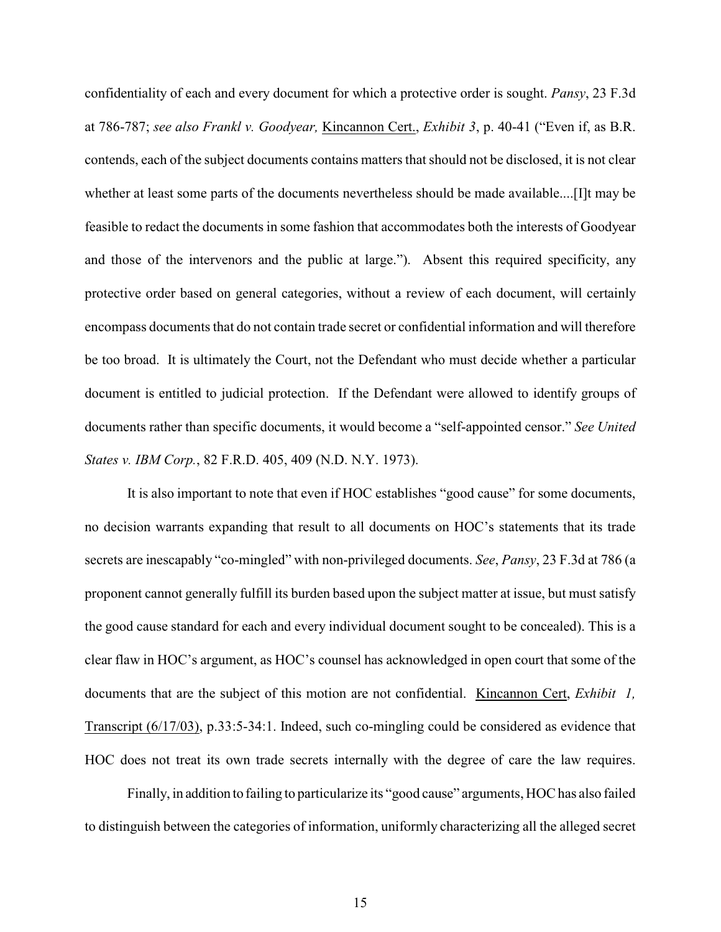<span id="page-17-3"></span><span id="page-17-0"></span>confidentiality of each and every document for which a protective order is sought. *Pansy*, 23 F.3d at 786-787; *see also Frankl v. Goodyear,* Kincannon Cert., *Exhibit 3*, p. 40-41 ("Even if, as B.R. contends, each of the subject documents contains matters that should not be disclosed, it is not clear whether at least some parts of the documents nevertheless should be made available....[I]t may be feasible to redact the documents in some fashion that accommodates both the interests of Goodyear and those of the intervenors and the public at large."). Absent this required specificity, any protective order based on general categories, without a review of each document, will certainly encompass documents that do not contain trade secret or confidential information and will therefore be too broad. It is ultimately the Court, not the Defendant who must decide whether a particular document is entitled to judicial protection. If the Defendant were allowed to identify groups of documents rather than specific documents, it would become a "self-appointed censor." *See United States v. IBM Corp.*, 82 F.R.D. 405, 409 (N.D. N.Y. 1973).

<span id="page-17-2"></span><span id="page-17-1"></span>It is also important to note that even if HOC establishes "good cause" for some documents, no decision warrants expanding that result to all documents on HOC's statements that its trade secrets are inescapably "co-mingled" with non-privileged documents. *See*, *Pansy*, 23 F.3d at 786 (a proponent cannot generally fulfill its burden based upon the subject matter at issue, but must satisfy the good cause standard for each and every individual document sought to be concealed). This is a clear flaw in HOC's argument, as HOC's counsel has acknowledged in open court that some of the documents that are the subject of this motion are not confidential. Kincannon Cert, *Exhibit 1,* Transcript (6/17/03), p.33:5-34:1. Indeed, such co-mingling could be considered as evidence that HOC does not treat its own trade secrets internally with the degree of care the law requires.

Finally, in addition to failing to particularize its "good cause" arguments, HOC has also failed to distinguish between the categories of information, uniformly characterizing all the alleged secret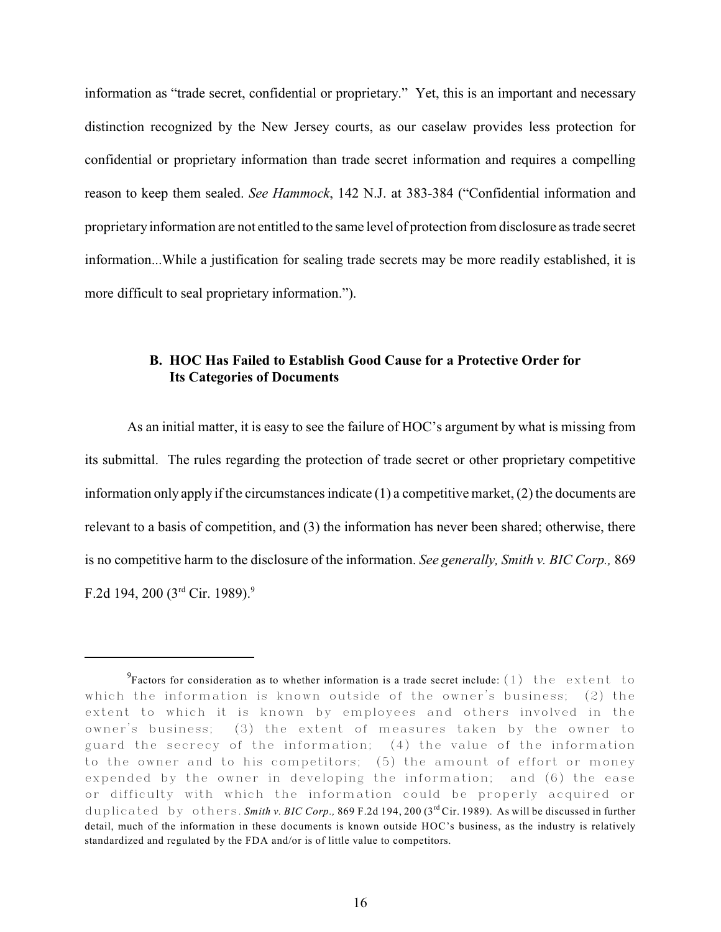information as "trade secret, confidential or proprietary." Yet, this is an important and necessary distinction recognized by the New Jersey courts, as our caselaw provides less protection for confidential or proprietary information than trade secret information and requires a compelling reason to keep them sealed. *See Hammock*, 142 N.J. at 383-384 ("Confidential information and proprietary information are not entitled to the same level of protection from disclosure as trade secret information...While a justification for sealing trade secrets may be more readily established, it is more difficult to seal proprietary information.").

### <span id="page-18-2"></span><span id="page-18-1"></span><span id="page-18-0"></span>**B. HOC Has Failed to Establish Good Cause for a Protective Order for Its Categories of Documents**

As an initial matter, it is easy to see the failure of HOC's argument by what is missing from its submittal. The rules regarding the protection of trade secret or other proprietary competitive information only apply if the circumstances indicate  $(1)$  a competitive market,  $(2)$  the documents are relevant to a basis of competition, and (3) the information has never been shared; otherwise, there is no competitive harm to the disclosure of the information. *See generally, Smith v. BIC Corp.,* 869 F.2d 194, 200 ( $3<sup>rd</sup>$  Cir. 1989).<sup>9</sup>

<sup>&</sup>lt;sup>9</sup> Factors for consideration as to whether information is a trade secret include: (1) the extent to which the information is known outside of the owner's business; (2) the extent to which it is known by employees and others involved in the owner's business; (3) the extent of measures taken by the owner to guard the secrecy of the information; (4) the value of the information to the owner and to his competitors; (5) the amount of effort or money expended by the owner in developing the information; and (6) the ease or difficulty with which the information could be properly acquired or duplicated by others. *Smith v. BIC Corp.*, 869 F.2d 194, 200 (3<sup>rd</sup> Cir. 1989). As will be discussed in further detail, much of the information in these documents is known outside HOC's business, as the industry is relatively standardized and regulated by the FDA and/or is of little value to competitors.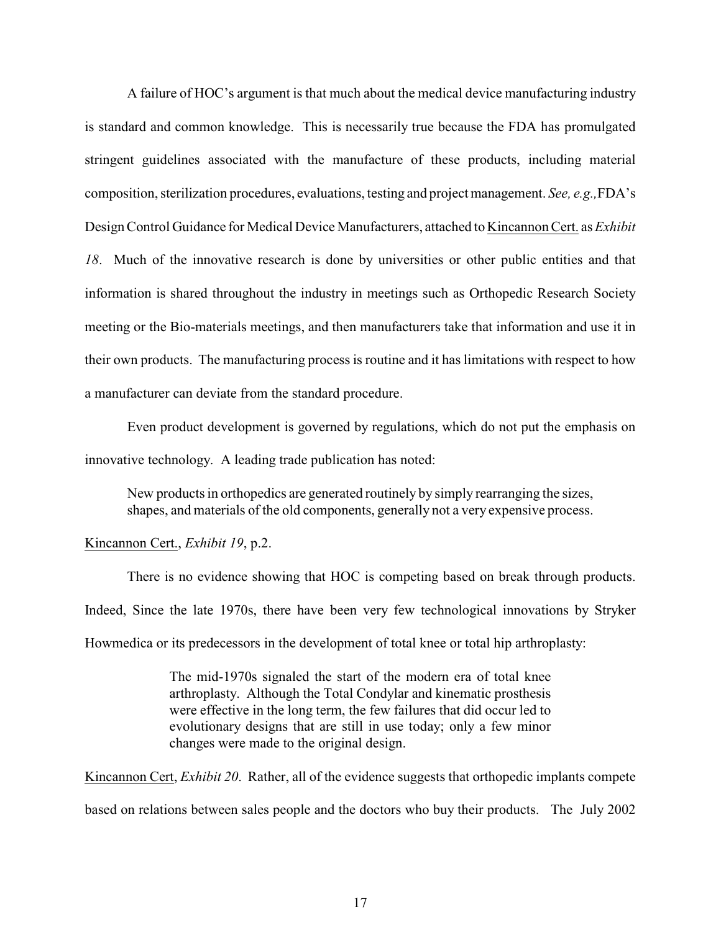A failure of HOC's argument is that much about the medical device manufacturing industry is standard and common knowledge. This is necessarily true because the FDA has promulgated stringent guidelines associated with the manufacture of these products, including material composition, sterilization procedures, evaluations, testing and project management. *See, e.g.,*FDA's Design Control Guidance for Medical Device Manufacturers, attached to Kincannon Cert. as *Exhibit 18*. Much of the innovative research is done by universities or other public entities and that information is shared throughout the industry in meetings such as Orthopedic Research Society meeting or the Bio-materials meetings, and then manufacturers take that information and use it in their own products. The manufacturing process is routine and it has limitations with respect to how a manufacturer can deviate from the standard procedure.

Even product development is governed by regulations, which do not put the emphasis on innovative technology. A leading trade publication has noted:

New products in orthopedics are generated routinely by simply rearranging the sizes, shapes, and materials of the old components, generally not a very expensive process.

#### Kincannon Cert., *Exhibit 19*, p.2.

There is no evidence showing that HOC is competing based on break through products. Indeed, Since the late 1970s, there have been very few technological innovations by Stryker Howmedica or its predecessors in the development of total knee or total hip arthroplasty:

> The mid-1970s signaled the start of the modern era of total knee arthroplasty. Although the Total Condylar and kinematic prosthesis were effective in the long term, the few failures that did occur led to evolutionary designs that are still in use today; only a few minor changes were made to the original design.

Kincannon Cert, *Exhibit 20*. Rather, all of the evidence suggests that orthopedic implants compete based on relations between sales people and the doctors who buy their products. The July 2002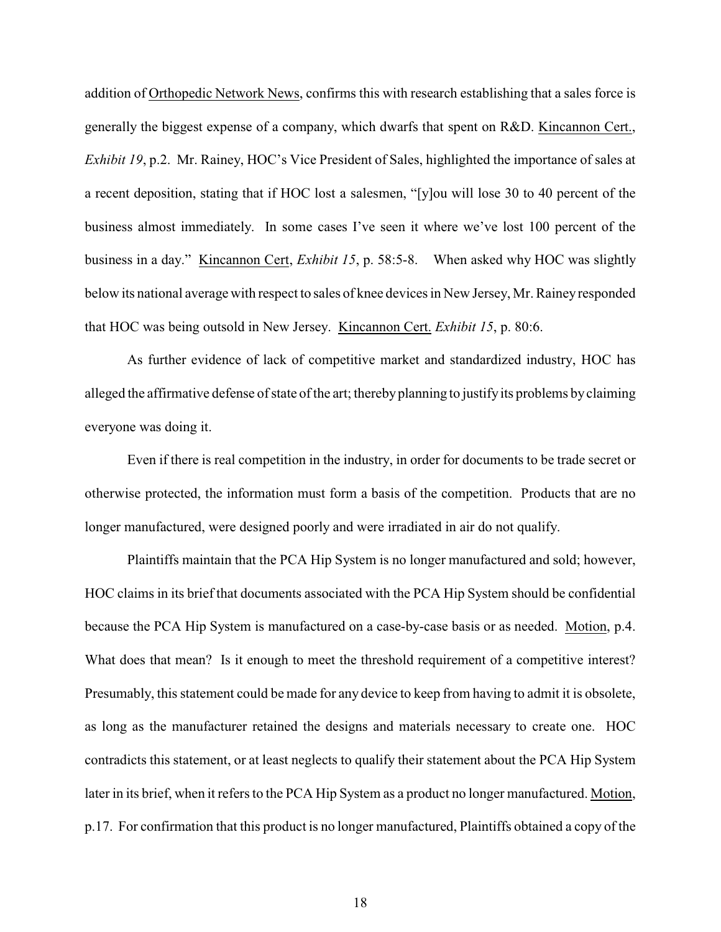addition of Orthopedic Network News, confirms this with research establishing that a sales force is generally the biggest expense of a company, which dwarfs that spent on R&D. Kincannon Cert., *Exhibit 19*, p.2. Mr. Rainey, HOC's Vice President of Sales, highlighted the importance of sales at a recent deposition, stating that if HOC lost a salesmen, "[y]ou will lose 30 to 40 percent of the business almost immediately. In some cases I've seen it where we've lost 100 percent of the business in a day." Kincannon Cert, *Exhibit 15*, p. 58:5-8. When asked why HOC was slightly below its national average with respect to sales of knee devices in New Jersey, Mr. Rainey responded that HOC was being outsold in New Jersey. Kincannon Cert. *Exhibit 15*, p. 80:6.

As further evidence of lack of competitive market and standardized industry, HOC has alleged the affirmative defense of state of the art; thereby planning to justifyits problems by claiming everyone was doing it.

Even if there is real competition in the industry, in order for documents to be trade secret or otherwise protected, the information must form a basis of the competition. Products that are no longer manufactured, were designed poorly and were irradiated in air do not qualify.

Plaintiffs maintain that the PCA Hip System is no longer manufactured and sold; however, HOC claims in its brief that documents associated with the PCA Hip System should be confidential because the PCA Hip System is manufactured on a case-by-case basis or as needed. Motion, p.4. What does that mean? Is it enough to meet the threshold requirement of a competitive interest? Presumably, this statement could be made for any device to keep from having to admit it is obsolete, as long as the manufacturer retained the designs and materials necessary to create one. HOC contradicts this statement, or at least neglects to qualify their statement about the PCA Hip System later in its brief, when it refers to the PCA Hip System as a product no longer manufactured. Motion, p.17. For confirmation that this product is no longer manufactured, Plaintiffs obtained a copy of the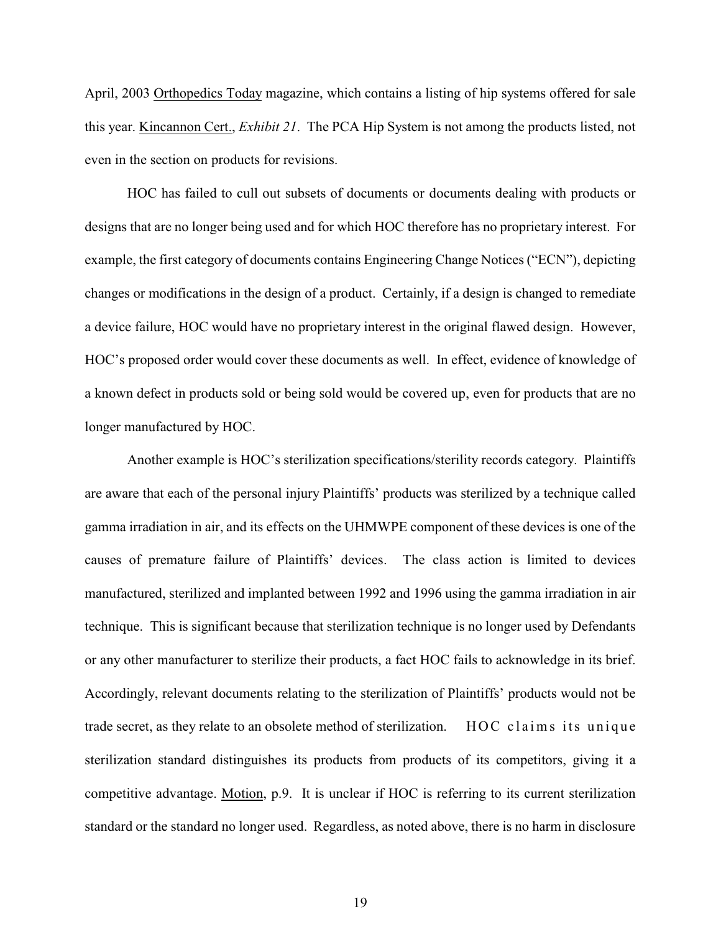April, 2003 Orthopedics Today magazine, which contains a listing of hip systems offered for sale this year. Kincannon Cert., *Exhibit 21*. The PCA Hip System is not among the products listed, not even in the section on products for revisions.

HOC has failed to cull out subsets of documents or documents dealing with products or designs that are no longer being used and for which HOC therefore has no proprietary interest. For example, the first category of documents contains Engineering Change Notices ("ECN"), depicting changes or modifications in the design of a product. Certainly, if a design is changed to remediate a device failure, HOC would have no proprietary interest in the original flawed design. However, HOC's proposed order would cover these documents as well. In effect, evidence of knowledge of a known defect in products sold or being sold would be covered up, even for products that are no longer manufactured by HOC.

Another example is HOC's sterilization specifications/sterility records category. Plaintiffs are aware that each of the personal injury Plaintiffs' products was sterilized by a technique called gamma irradiation in air, and its effects on the UHMWPE component of these devices is one of the causes of premature failure of Plaintiffs' devices. The class action is limited to devices manufactured, sterilized and implanted between 1992 and 1996 using the gamma irradiation in air technique. This is significant because that sterilization technique is no longer used by Defendants or any other manufacturer to sterilize their products, a fact HOC fails to acknowledge in its brief. Accordingly, relevant documents relating to the sterilization of Plaintiffs' products would not be trade secret, as they relate to an obsolete method of sterilization.  $\overline{HOC}$  claims its unique sterilization standard distinguishes its products from products of its competitors, giving it a competitive advantage. Motion, p.9. It is unclear if HOC is referring to its current sterilization standard or the standard no longer used. Regardless, as noted above, there is no harm in disclosure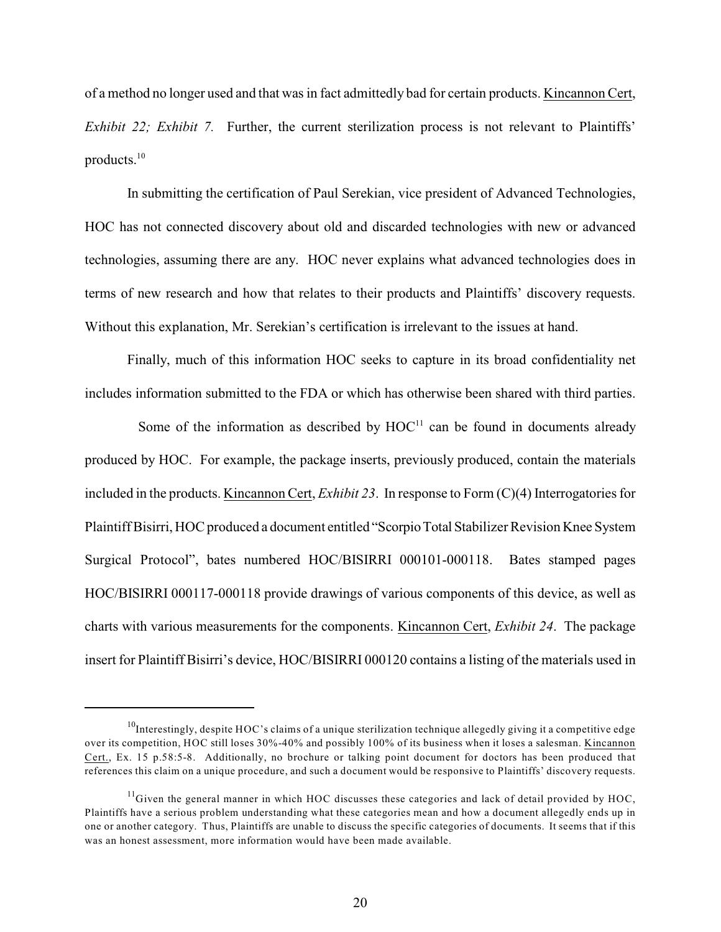of a method no longer used and that was in fact admittedly bad for certain products. Kincannon Cert, *Exhibit 22; Exhibit 7.* Further, the current sterilization process is not relevant to Plaintiffs' products. 10

In submitting the certification of Paul Serekian, vice president of Advanced Technologies, HOC has not connected discovery about old and discarded technologies with new or advanced technologies, assuming there are any. HOC never explains what advanced technologies does in terms of new research and how that relates to their products and Plaintiffs' discovery requests. Without this explanation, Mr. Serekian's certification is irrelevant to the issues at hand.

Finally, much of this information HOC seeks to capture in its broad confidentiality net includes information submitted to the FDA or which has otherwise been shared with third parties.

Some of the information as described by  $HOC<sup>11</sup>$  can be found in documents already produced by HOC. For example, the package inserts, previously produced, contain the materials included in the products. Kincannon Cert, *Exhibit 23*. In response to Form (C)(4) Interrogatories for Plaintiff Bisirri, HOC produced a document entitled "Scorpio Total Stabilizer Revision Knee System Surgical Protocol", bates numbered HOC/BISIRRI 000101-000118. Bates stamped pages HOC/BISIRRI 000117-000118 provide drawings of various components of this device, as well as charts with various measurements for the components. Kincannon Cert, *Exhibit 24*. The package insert for Plaintiff Bisirri's device, HOC/BISIRRI 000120 contains a listing of the materials used in

 $10$ Interestingly, despite HOC's claims of a unique sterilization technique allegedly giving it a competitive edge over its competition, HOC still loses 30%-40% and possibly 100% of its business when it loses a salesman. Kincannon Cert., Ex. 15 p.58:5-8. Additionally, no brochure or talking point document for doctors has been produced that references this claim on a unique procedure, and such a document would be responsive to Plaintiffs' discovery requests.

 $^{11}$ Given the general manner in which HOC discusses these categories and lack of detail provided by HOC, Plaintiffs have a serious problem understanding what these categories mean and how a document allegedly ends up in one or another category. Thus, Plaintiffs are unable to discuss the specific categories of documents. It seems that if this was an honest assessment, more information would have been made available.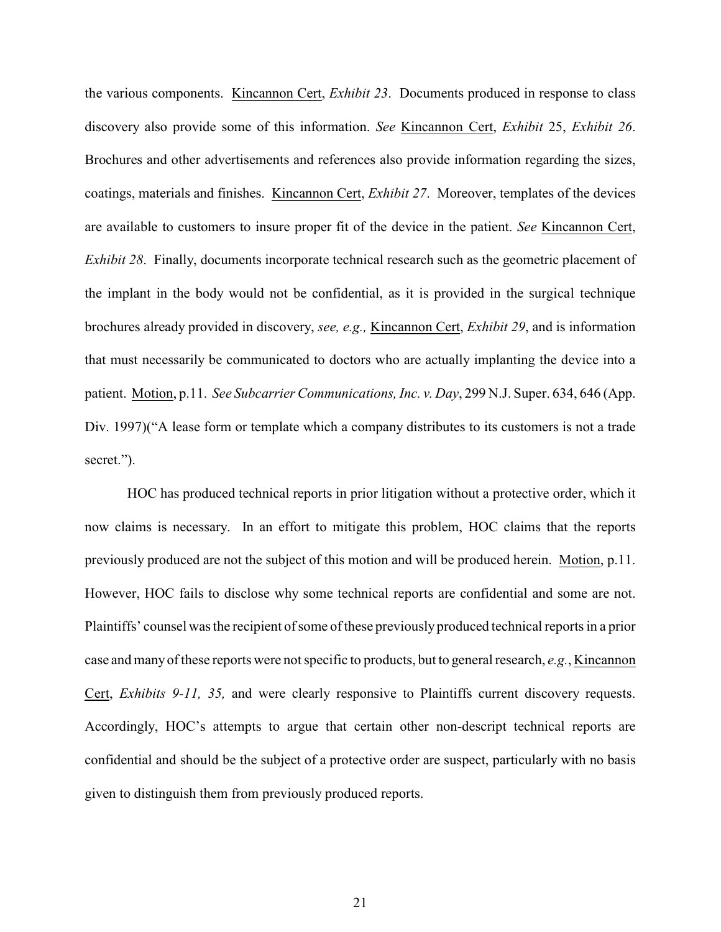the various components. Kincannon Cert, *Exhibit 23*. Documents produced in response to class discovery also provide some of this information. *See* Kincannon Cert, *Exhibit* 25, *Exhibit 26*. Brochures and other advertisements and references also provide information regarding the sizes, coatings, materials and finishes. Kincannon Cert, *Exhibit 27*. Moreover, templates of the devices are available to customers to insure proper fit of the device in the patient. *See* Kincannon Cert, *Exhibit 28*. Finally, documents incorporate technical research such as the geometric placement of the implant in the body would not be confidential, as it is provided in the surgical technique brochures already provided in discovery, *see, e.g.,* Kincannon Cert, *Exhibit 29*, and is information that must necessarily be communicated to doctors who are actually implanting the device into a patient. Motion, p.11. *See Subcarrier Communications, Inc. v. Day*, 299 N.J. Super. 634, 646 (App. Div. 1997)("A lease form or template which a company distributes to its customers is not a trade secret.").

<span id="page-23-0"></span>HOC has produced technical reports in prior litigation without a protective order, which it now claims is necessary. In an effort to mitigate this problem, HOC claims that the reports previously produced are not the subject of this motion and will be produced herein. Motion, p.11. However, HOC fails to disclose why some technical reports are confidential and some are not. Plaintiffs' counsel was the recipient ofsome of these previously produced technical reports in a prior case and many of these reports were not specific to products, but to general research, *e.g.*, Kincannon Cert, *Exhibits 9-11, 35,* and were clearly responsive to Plaintiffs current discovery requests. Accordingly, HOC's attempts to argue that certain other non-descript technical reports are confidential and should be the subject of a protective order are suspect, particularly with no basis given to distinguish them from previously produced reports.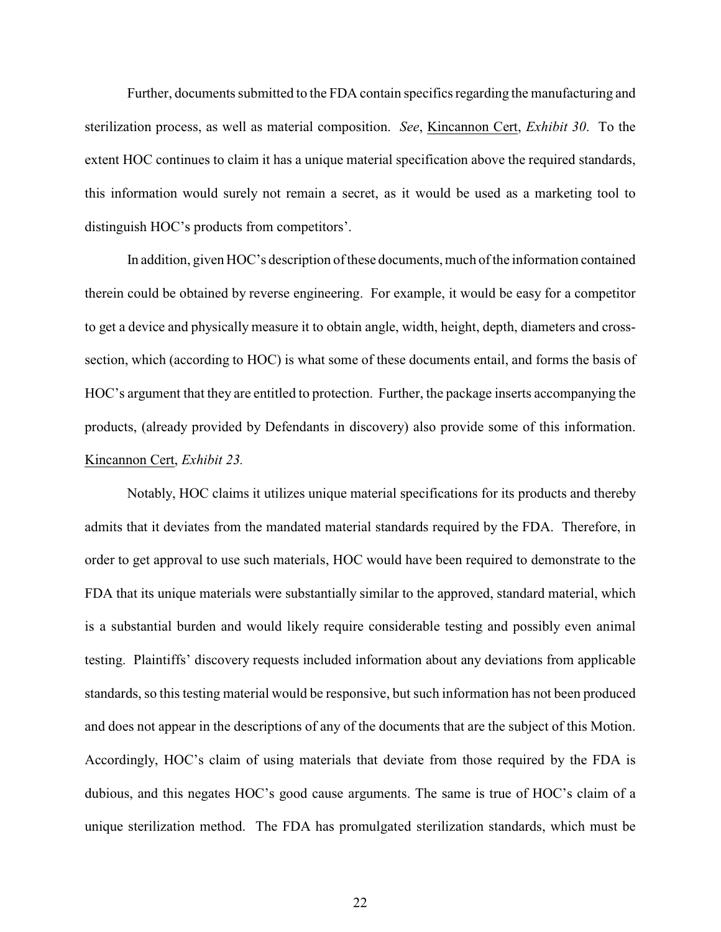Further, documents submitted to the FDA contain specifics regarding the manufacturing and sterilization process, as well as material composition. *See*, Kincannon Cert, *Exhibit 30*.To the extent HOC continues to claim it has a unique material specification above the required standards, this information would surely not remain a secret, as it would be used as a marketing tool to distinguish HOC's products from competitors'.

In addition, given HOC's description of these documents, much of the information contained therein could be obtained by reverse engineering. For example, it would be easy for a competitor to get a device and physically measure it to obtain angle, width, height, depth, diameters and crosssection, which (according to HOC) is what some of these documents entail, and forms the basis of HOC's argument that they are entitled to protection. Further, the package inserts accompanying the products, (already provided by Defendants in discovery) also provide some of this information. Kincannon Cert, *Exhibit 23.*

Notably, HOC claims it utilizes unique material specifications for its products and thereby admits that it deviates from the mandated material standards required by the FDA. Therefore, in order to get approval to use such materials, HOC would have been required to demonstrate to the FDA that its unique materials were substantially similar to the approved, standard material, which is a substantial burden and would likely require considerable testing and possibly even animal testing. Plaintiffs' discovery requests included information about any deviations from applicable standards, so this testing material would be responsive, but such information has not been produced and does not appear in the descriptions of any of the documents that are the subject of this Motion. Accordingly, HOC's claim of using materials that deviate from those required by the FDA is dubious, and this negates HOC's good cause arguments. The same is true of HOC's claim of a unique sterilization method. The FDA has promulgated sterilization standards, which must be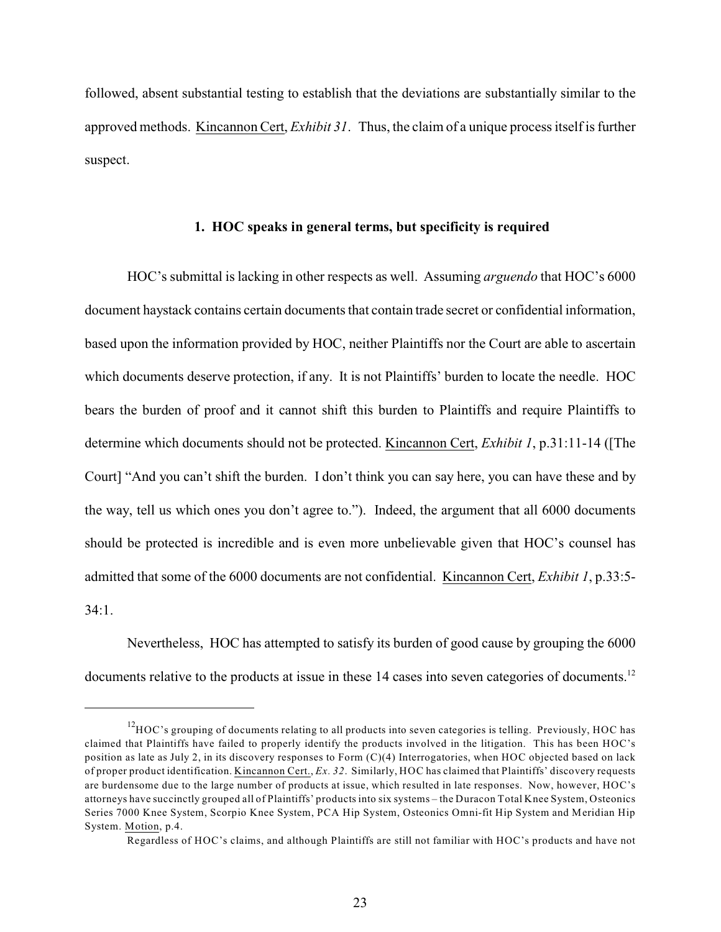followed, absent substantial testing to establish that the deviations are substantially similar to the approved methods. Kincannon Cert, *Exhibit 31*. Thus, the claim of a unique process itself is further suspect.

#### <span id="page-25-0"></span>**1. HOC speaks in general terms, but specificity is required**

HOC's submittal islacking in other respects as well. Assuming *arguendo* that HOC's 6000 document haystack contains certain documents that contain trade secret or confidential information, based upon the information provided by HOC, neither Plaintiffs nor the Court are able to ascertain which documents deserve protection, if any. It is not Plaintiffs' burden to locate the needle. HOC bears the burden of proof and it cannot shift this burden to Plaintiffs and require Plaintiffs to determine which documents should not be protected. Kincannon Cert, *Exhibit 1*, p.31:11-14 ([The Court] "And you can't shift the burden. I don't think you can say here, you can have these and by the way, tell us which ones you don't agree to."). Indeed, the argument that all 6000 documents should be protected is incredible and is even more unbelievable given that HOC's counsel has admitted that some of the 6000 documents are not confidential. Kincannon Cert, *Exhibit 1*, p.33:5-  $34.1$ .

Nevertheless, HOC has attempted to satisfy its burden of good cause by grouping the 6000 documents relative to the products at issue in these 14 cases into seven categories of documents.<sup>12</sup>

 $^{12}$ HOC's grouping of documents relating to all products into seven categories is telling. Previously, HOC has claimed that Plaintiffs have failed to properly identify the products involved in the litigation. This has been HOC's position as late as July 2, in its discovery responses to Form (C)(4) Interrogatories, when HOC objected based on lack of proper product identification. Kincannon Cert., *Ex. 32*. Similarly, HOC has claimed that Plaintiffs' discovery requests are burdensome due to the large number of products at issue, which resulted in late responses. Now, however, HOC's attorneys have succinctly grouped all of Plaintiffs' products into six systems – the Duracon Total Knee System, Osteonics Series 7000 Knee System, Scorpio Knee System, PCA Hip System, Osteonics Omni-fit Hip System and Meridian Hip System. Motion, p.4.

Regardless of HOC's claims, and although Plaintiffs are still not familiar with HOC's products and have not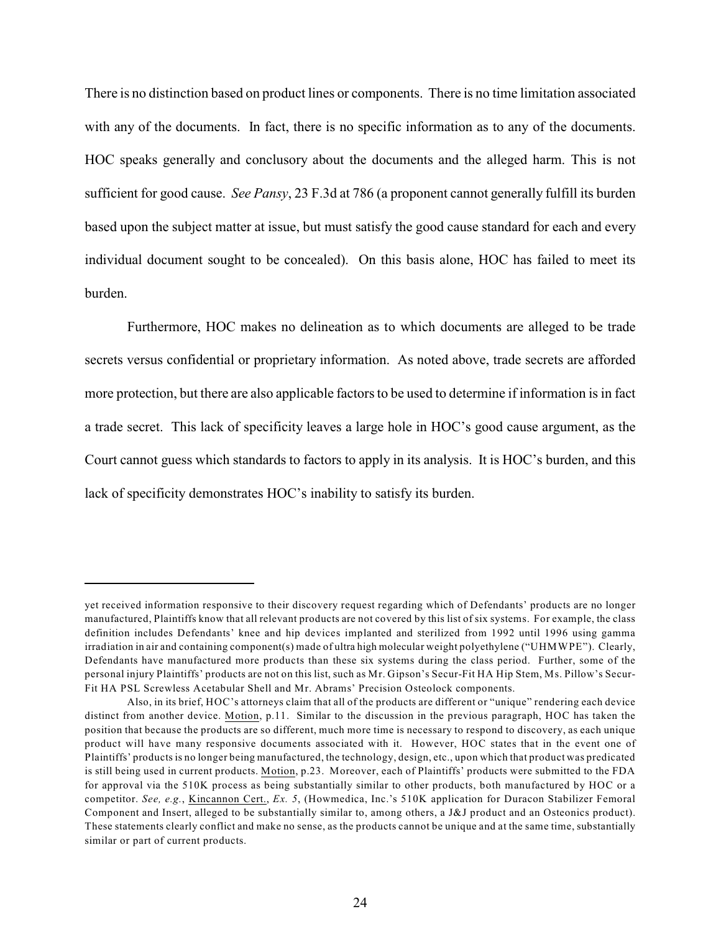<span id="page-26-0"></span>There is no distinction based on product lines or components. There is no time limitation associated with any of the documents. In fact, there is no specific information as to any of the documents. HOC speaks generally and conclusory about the documents and the alleged harm. This is not sufficient for good cause. *See Pansy*, 23 F.3d at 786 (a proponent cannot generally fulfill its burden based upon the subject matter at issue, but must satisfy the good cause standard for each and every individual document sought to be concealed). On this basis alone, HOC has failed to meet its burden.

Furthermore, HOC makes no delineation as to which documents are alleged to be trade secrets versus confidential or proprietary information. As noted above, trade secrets are afforded more protection, but there are also applicable factors to be used to determine if information is in fact a trade secret. This lack of specificity leaves a large hole in HOC's good cause argument, as the Court cannot guess which standards to factors to apply in its analysis. It is HOC's burden, and this lack of specificity demonstrates HOC's inability to satisfy its burden.

yet received information responsive to their discovery request regarding which of Defendants' products are no longer manufactured, Plaintiffs know that all relevant products are not covered by this list of six systems. For example, the class definition includes Defendants' knee and hip devices implanted and sterilized from 1992 until 1996 using gamma irradiation in air and containing component(s) made of ultra high molecular weight polyethylene ("UHMWPE"). Clearly, Defendants have manufactured more products than these six systems during the class period. Further, some of the personal injury Plaintiffs' products are not on this list, such as Mr. Gipson's Secur-Fit HA Hip Stem, Ms. Pillow's Secur-Fit HA PSL Screwless Acetabular Shell and Mr. Abrams' Precision Osteolock components.

Also, in its brief, HOC's attorneys claim that all of the products are different or "unique" rendering each device distinct from another device. Motion, p.11. Similar to the discussion in the previous paragraph, HOC has taken the position that because the products are so different, much more time is necessary to respond to discovery, as each unique product will have many responsive documents associated with it. However, HOC states that in the event one of Plaintiffs' products is no longer being manufactured, the technology, design, etc., upon which that product was predicated is still being used in current products. Motion, p.23. Moreover, each of Plaintiffs' products were submitted to the FDA for approval via the 510K process as being substantially similar to other products, both manufactured by HOC or a competitor. *See, e.g.*, Kincannon Cert., *Ex. 5*, (Howmedica, Inc.'s 510K application for Duracon Stabilizer Femoral Component and Insert, alleged to be substantially similar to, among others, a J&J product and an Osteonics product). These statements clearly conflict and make no sense, as the products cannot be unique and at the same time, substantially similar or part of current products.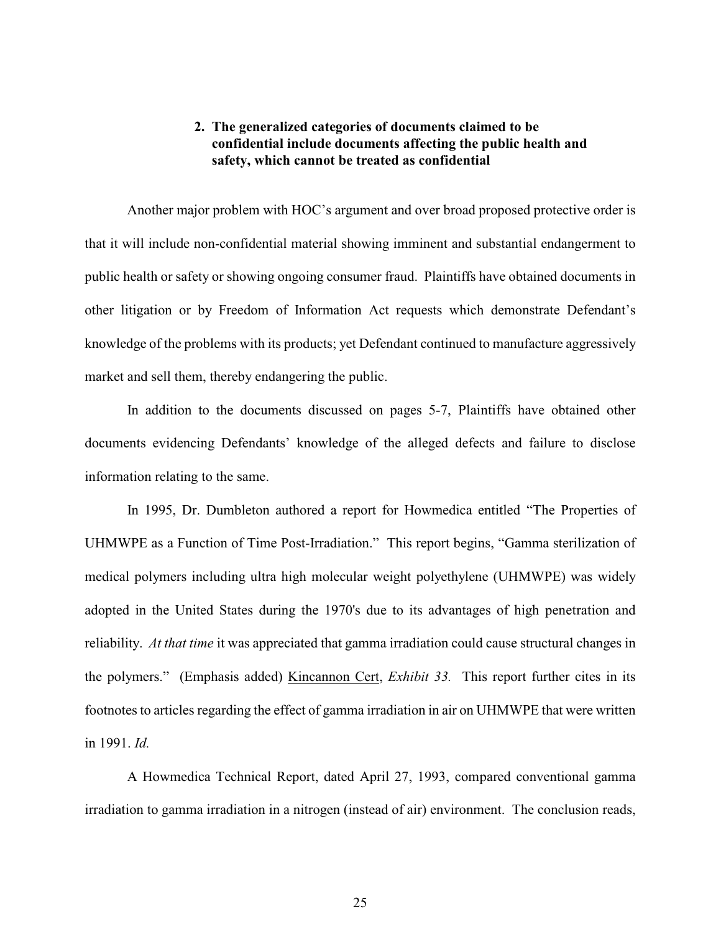### **2. The generalized categories of documents claimed to be confidential include documents affecting the public health and safety, which cannot be treated as confidential**

<span id="page-27-0"></span>Another major problem with HOC's argument and over broad proposed protective order is that it will include non-confidential material showing imminent and substantial endangerment to public health or safety or showing ongoing consumer fraud. Plaintiffs have obtained documents in other litigation or by Freedom of Information Act requests which demonstrate Defendant's knowledge of the problems with its products; yet Defendant continued to manufacture aggressively market and sell them, thereby endangering the public.

In addition to the documents discussed on pages 5-7, Plaintiffs have obtained other documents evidencing Defendants' knowledge of the alleged defects and failure to disclose information relating to the same.

In 1995, Dr. Dumbleton authored a report for Howmedica entitled "The Properties of UHMWPE as a Function of Time Post-Irradiation." This report begins, "Gamma sterilization of medical polymers including ultra high molecular weight polyethylene (UHMWPE) was widely adopted in the United States during the 1970's due to its advantages of high penetration and reliability. *At that time* it was appreciated that gamma irradiation could cause structural changes in the polymers." (Emphasis added) Kincannon Cert, *Exhibit 33.* This report further cites in its footnotes to articles regarding the effect of gamma irradiation in air on UHMWPE that were written in 1991. *Id.*

A Howmedica Technical Report, dated April 27, 1993, compared conventional gamma irradiation to gamma irradiation in a nitrogen (instead of air) environment. The conclusion reads,

25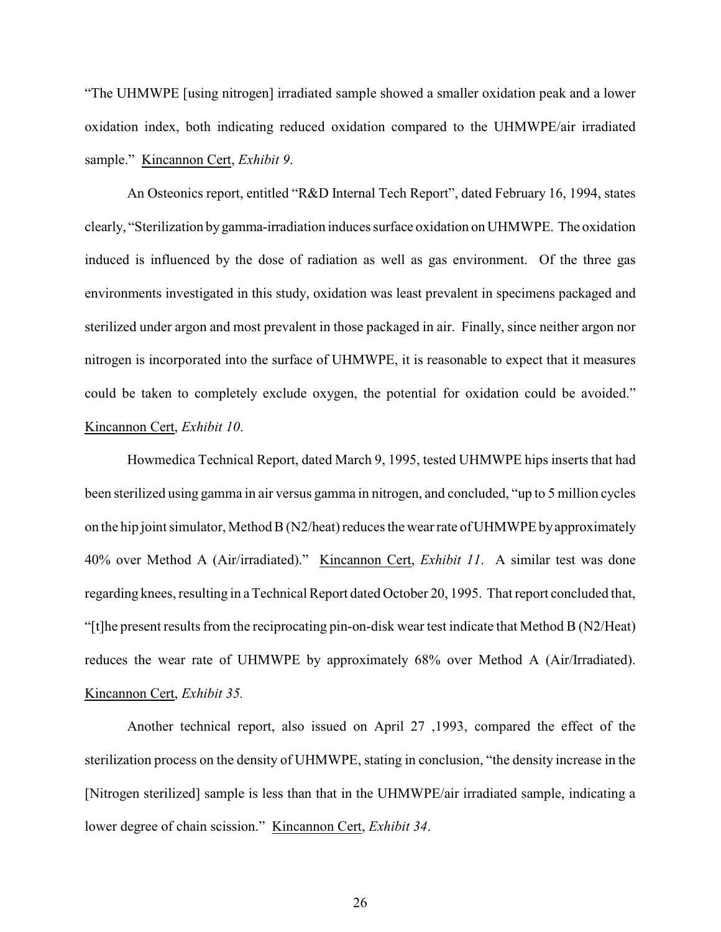"The UHMWPE [using nitrogen] irradiated sample showed a smaller oxidation peak and a lower oxidation index, both indicating reduced oxidation compared to the UHMWPE/air irradiated sample." Kincannon Cert, *Exhibit 9*.

An Osteonics report, entitled "R&D Internal Tech Report", dated February 16, 1994, states clearly, "Sterilization by gamma-irradiation induces surface oxidation on UHMWPE. The oxidation induced is influenced by the dose of radiation as well as gas environment. Of the three gas environments investigated in this study, oxidation was least prevalent in specimens packaged and sterilized under argon and most prevalent in those packaged in air. Finally, since neither argon nor nitrogen is incorporated into the surface of UHMWPE, it is reasonable to expect that it measures could be taken to completely exclude oxygen, the potential for oxidation could be avoided." Kincannon Cert, *Exhibit 10*.

Howmedica Technical Report, dated March 9, 1995, tested UHMWPE hips inserts that had been sterilized using gamma in air versus gamma in nitrogen, and concluded, "up to 5 million cycles on the hip joint simulator, Method B (N2/heat) reduces the wear rate of UHMWPE by approximately 40% over Method A (Air/irradiated)." Kincannon Cert, *Exhibit 11*. A similar test was done regarding knees, resulting in aTechnical Report dated October 20, 1995. That report concluded that, "[t]he present results from the reciprocating pin-on-disk wear test indicate that Method B ( $N2/Heat$ ) reduces the wear rate of UHMWPE by approximately 68% over Method A (Air/Irradiated). Kincannon Cert, *Exhibit 35.*

Another technical report, also issued on April 27 ,1993, compared the effect of the sterilization process on the density of UHMWPE, stating in conclusion, "the density increase in the [Nitrogen sterilized] sample is less than that in the UHMWPE/air irradiated sample, indicating a lower degree of chain scission." Kincannon Cert, *Exhibit 34*.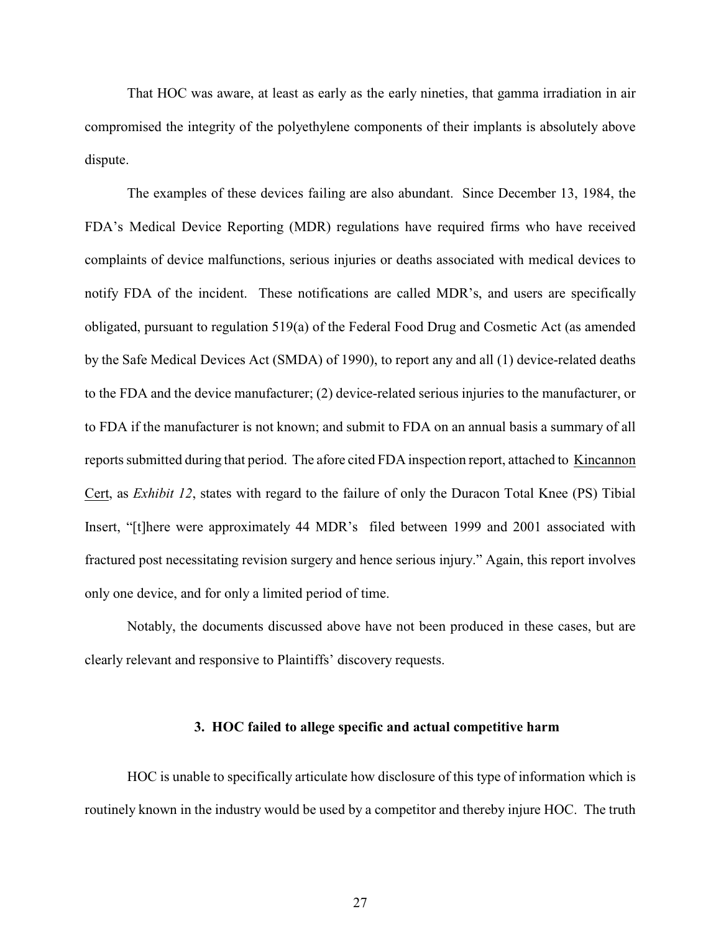That HOC was aware, at least as early as the early nineties, that gamma irradiation in air compromised the integrity of the polyethylene components of their implants is absolutely above dispute.

The examples of these devices failing are also abundant. Since December 13, 1984, the FDA's Medical Device Reporting (MDR) regulations have required firms who have received complaints of device malfunctions, serious injuries or deaths associated with medical devices to notify FDA of the incident. These notifications are called MDR's, and users are specifically obligated, pursuant to regulation 519(a) of the Federal Food Drug and Cosmetic Act (as amended by the Safe Medical Devices Act (SMDA) of 1990), to report any and all (1) device-related deaths to the FDA and the device manufacturer; (2) device-related serious injuries to the manufacturer, or to FDA if the manufacturer is not known; and submit to FDA on an annual basis a summary of all reports submitted during that period. The afore cited FDA inspection report, attached to Kincannon Cert, as *Exhibit 12*, states with regard to the failure of only the Duracon Total Knee (PS) Tibial Insert, "[t]here were approximately 44 MDR's filed between 1999 and 2001 associated with fractured post necessitating revision surgery and hence serious injury." Again, this report involves only one device, and for only a limited period of time.

<span id="page-29-0"></span>Notably, the documents discussed above have not been produced in these cases, but are clearly relevant and responsive to Plaintiffs' discovery requests.

#### **3. HOC failed to allege specific and actual competitive harm**

HOC is unable to specifically articulate how disclosure of this type of information which is routinely known in the industry would be used by a competitor and thereby injure HOC. The truth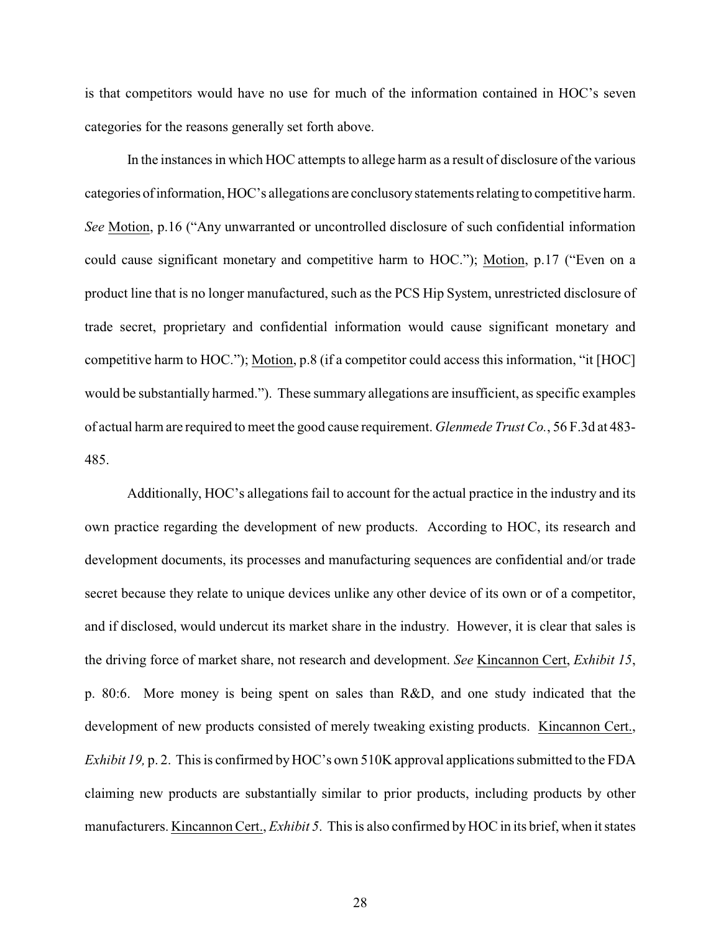is that competitors would have no use for much of the information contained in HOC's seven categories for the reasons generally set forth above.

In the instances in which HOC attempts to allege harm as a result of disclosure of the various categories of information, HOC's allegations are conclusory statements relating to competitive harm. *See* Motion, p.16 ("Any unwarranted or uncontrolled disclosure of such confidential information could cause significant monetary and competitive harm to HOC."); Motion, p.17 ("Even on a product line that is no longer manufactured, such as the PCS Hip System, unrestricted disclosure of trade secret, proprietary and confidential information would cause significant monetary and competitive harm to HOC."); Motion, p.8 (if a competitor could access this information, "it [HOC] would be substantially harmed."). These summary allegations are insufficient, as specific examples of actual harm are required to meet the good cause requirement. *Glenmede Trust Co.*, 56 F.3d at 483- 485.

<span id="page-30-0"></span>Additionally, HOC's allegations fail to account for the actual practice in the industry and its own practice regarding the development of new products. According to HOC, its research and development documents, its processes and manufacturing sequences are confidential and/or trade secret because they relate to unique devices unlike any other device of its own or of a competitor, and if disclosed, would undercut its market share in the industry. However, it is clear that sales is the driving force of market share, not research and development. *See* Kincannon Cert, *Exhibit 15*, p. 80:6. More money is being spent on sales than R&D, and one study indicated that the development of new products consisted of merely tweaking existing products. Kincannon Cert., *Exhibit 19, p. 2.* This is confirmed by HOC's own 510K approval applications submitted to the FDA claiming new products are substantially similar to prior products, including products by other manufacturers. Kincannon Cert., *Exhibit 5*. This is also confirmed by HOC in its brief, when it states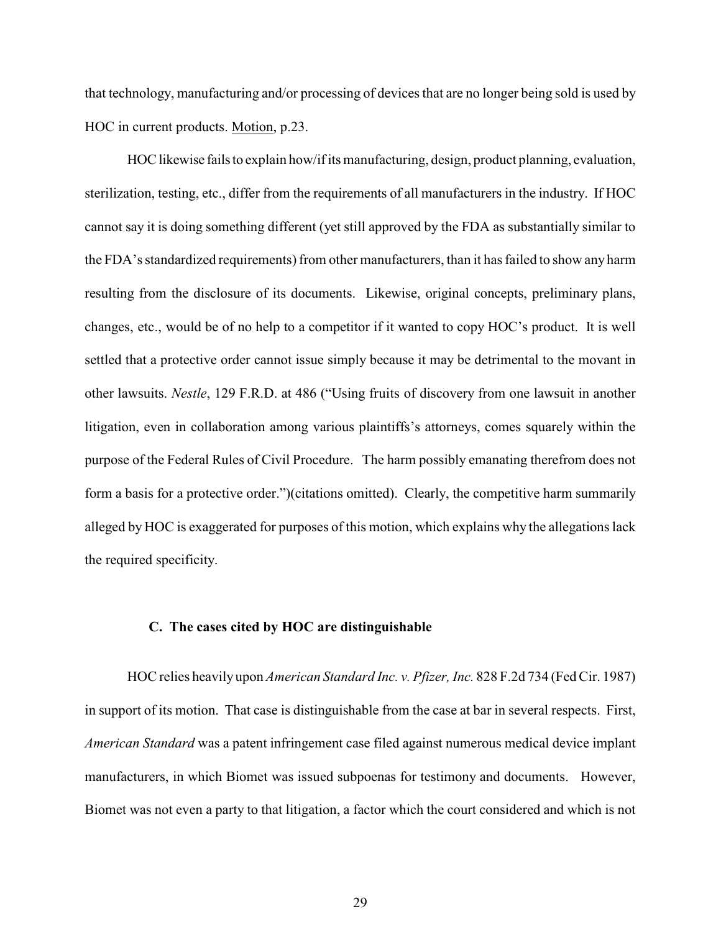that technology, manufacturing and/or processing of devices that are no longer being sold is used by HOC in current products. Motion, p.23.

HOC likewise fails to explain how/if its manufacturing, design, product planning, evaluation, sterilization, testing, etc., differ from the requirements of all manufacturers in the industry. If HOC cannot say it is doing something different (yet still approved by the FDA as substantially similar to the FDA's standardized requirements) from other manufacturers, than it has failed to show any harm resulting from the disclosure of its documents. Likewise, original concepts, preliminary plans, changes, etc., would be of no help to a competitor if it wanted to copy HOC's product. It is well settled that a protective order cannot issue simply because it may be detrimental to the movant in other lawsuits. *Nestle*, 129 F.R.D. at 486 ("Using fruits of discovery from one lawsuit in another litigation, even in collaboration among various plaintiffs's attorneys, comes squarely within the purpose of the Federal Rules of Civil Procedure. The harm possibly emanating therefrom does not form a basis for a protective order.")(citations omitted). Clearly, the competitive harm summarily alleged by HOC is exaggerated for purposes of this motion, which explains why the allegations lack the required specificity.

#### <span id="page-31-1"></span><span id="page-31-0"></span>**C. The cases cited by HOC are distinguishable**

HOC relies heavily upon *American Standard Inc. v. Pfizer, Inc.* 828 F.2d 734 (Fed Cir. 1987) in support of its motion. That case is distinguishable from the case at bar in several respects. First, *American Standard* was a patent infringement case filed against numerous medical device implant manufacturers, in which Biomet was issued subpoenas for testimony and documents. However, Biomet was not even a party to that litigation, a factor which the court considered and which is not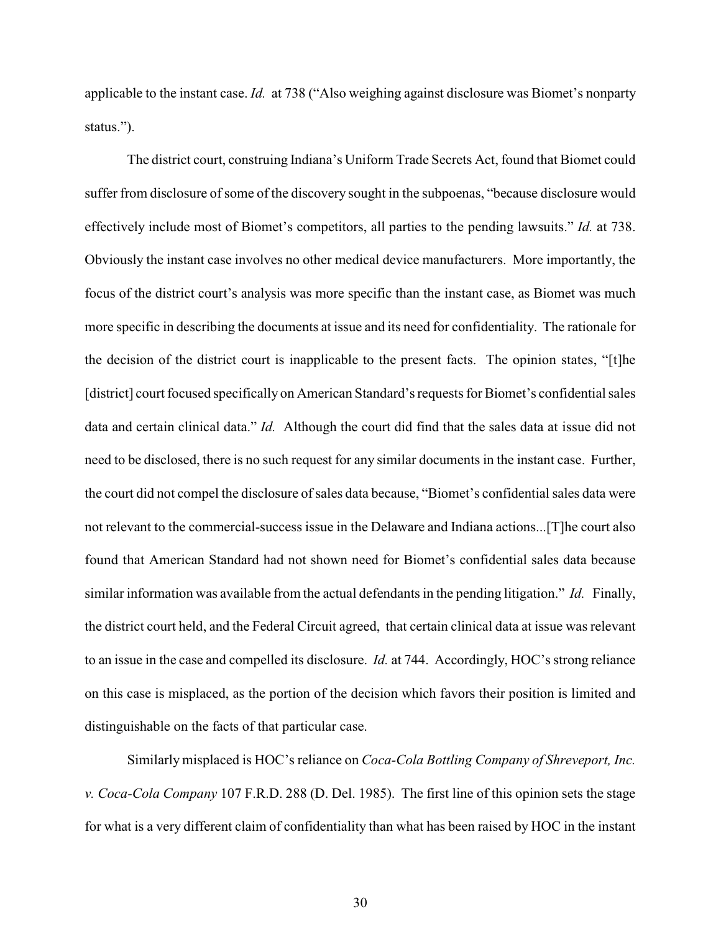applicable to the instant case. *Id.* at 738 ("Also weighing against disclosure was Biomet's nonparty status.").

The district court, construing Indiana's Uniform Trade Secrets Act, found that Biomet could suffer from disclosure of some of the discovery sought in the subpoenas, "because disclosure would effectively include most of Biomet's competitors, all parties to the pending lawsuits." *Id.* at 738. Obviously the instant case involves no other medical device manufacturers. More importantly, the focus of the district court's analysis was more specific than the instant case, as Biomet was much more specific in describing the documents at issue and its need for confidentiality. The rationale for the decision of the district court is inapplicable to the present facts. The opinion states, "[t]he [district] court focused specifically on American Standard's requests for Biomet's confidential sales data and certain clinical data." *Id.* Although the court did find that the sales data at issue did not need to be disclosed, there is no such request for any similar documents in the instant case. Further, the court did not compel the disclosure of sales data because, "Biomet's confidential sales data were not relevant to the commercial-success issue in the Delaware and Indiana actions...[T]he court also found that American Standard had not shown need for Biomet's confidential sales data because similar information was available from the actual defendants in the pending litigation." *Id.* Finally, the district court held, and the Federal Circuit agreed, that certain clinical data at issue was relevant to an issue in the case and compelled its disclosure. *Id.* at 744. Accordingly, HOC's strong reliance on this case is misplaced, as the portion of the decision which favors their position is limited and distinguishable on the facts of that particular case.

Similarly misplaced is HOC's reliance on *Coca-Cola Bottling Company of Shreveport, Inc. v. Coca-Cola Company* 107 F.R.D. 288 (D. Del. 1985). The first line of this opinion sets the stage for what is a very different claim of confidentiality than what has been raised by HOC in the instant

<span id="page-32-1"></span><span id="page-32-0"></span>30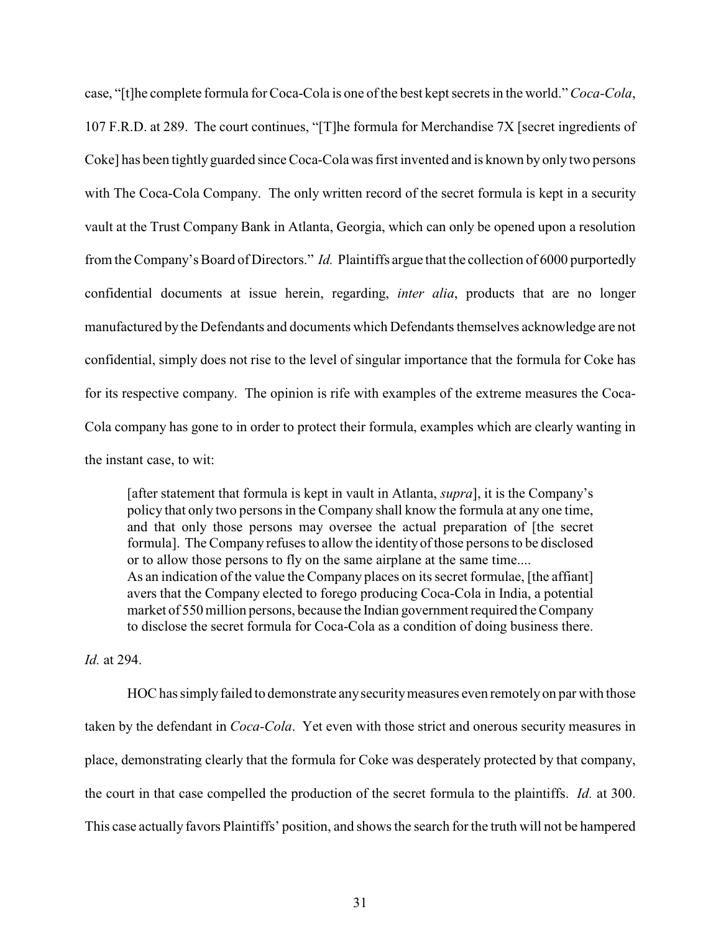case, "[t]he complete formula for Coca-Cola is one of the best kept secrets in the world."*Coca-Cola*, 107 F.R.D. at 289. The court continues, "[T]he formula for Merchandise 7X [secret ingredients of Coke] has been tightly guarded since Coca-Cola was first invented and is known by only two persons with The Coca-Cola Company. The only written record of the secret formula is kept in a security vault at the Trust Company Bank in Atlanta, Georgia, which can only be opened upon a resolution from the Company's Board of Directors." *Id.* Plaintiffs argue that the collection of 6000 purportedly confidential documents at issue herein, regarding, *inter alia*, products that are no longer manufactured by the Defendants and documents which Defendants themselves acknowledge are not confidential, simply does not rise to the level of singular importance that the formula for Coke has for its respective company. The opinion is rife with examples of the extreme measures the Coca-Cola company has gone to in order to protect their formula, examples which are clearly wanting in the instant case, to wit:

[after statement that formula is kept in vault in Atlanta, *supra*], it is the Company's policy that only two persons in the Company shall know the formula at any one time, and that only those persons may oversee the actual preparation of [the secret formula]. The Company refuses to allow the identity of those persons to be disclosed or to allow those persons to fly on the same airplane at the same time.... As an indication of the value the Company places on its secret formulae, [the affiant] avers that the Company elected to forego producing Coca-Cola in India, a potential market of 550 million persons, because the Indian government required the Company to disclose the secret formula for Coca-Cola as a condition of doing business there.

*Id.* at 294.

HOC has simply failed to demonstrate any security measures even remotely on par with those taken by the defendant in *Coca-Cola*. Yet even with those strict and onerous security measures in place, demonstrating clearly that the formula for Coke was desperately protected by that company, the court in that case compelled the production of the secret formula to the plaintiffs. *Id.* at 300. This case actually favors Plaintiffs' position, and shows the search for the truth will not be hampered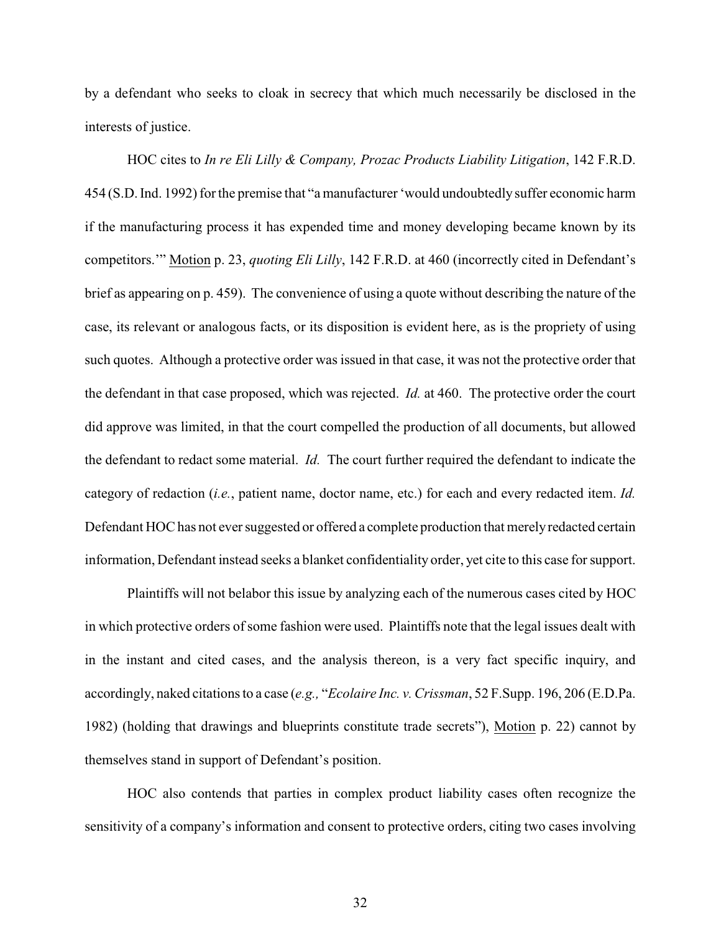by a defendant who seeks to cloak in secrecy that which much necessarily be disclosed in the interests of justice.

<span id="page-34-1"></span>HOC cites to *In re Eli Lilly & Company, Prozac Products Liability Litigation*, 142 F.R.D. 454 (S.D. Ind. 1992) for the premise that "a manufacturer 'would undoubtedly suffer economic harm if the manufacturing process it has expended time and money developing became known by its competitors.'" Motion p. 23, *quoting Eli Lilly*, 142 F.R.D. at 460 (incorrectly cited in Defendant's brief as appearing on p. 459). The convenience of using a quote without describing the nature of the case, its relevant or analogous facts, or its disposition is evident here, as is the propriety of using such quotes. Although a protective order was issued in that case, it was not the protective order that the defendant in that case proposed, which was rejected. *Id.* at 460. The protective order the court did approve was limited, in that the court compelled the production of all documents, but allowed the defendant to redact some material. *Id.* The court further required the defendant to indicate the category of redaction (*i.e.*, patient name, doctor name, etc.) for each and every redacted item. *Id.* Defendant HOC has not ever suggested or offered a complete production that merely redacted certain information, Defendant instead seeks a blanket confidentiality order, yet cite to this case for support.

<span id="page-34-0"></span>Plaintiffs will not belabor this issue by analyzing each of the numerous cases cited by HOC in which protective orders of some fashion were used. Plaintiffs note that the legal issues dealt with in the instant and cited cases, and the analysis thereon, is a very fact specific inquiry, and accordingly, naked citations to a case (*e.g.,* "*Ecolaire Inc. v. Crissman*, 52 F.Supp. 196, 206 (E.D.Pa. 1982) (holding that drawings and blueprints constitute trade secrets"), Motion p. 22) cannot by themselves stand in support of Defendant's position.

HOC also contends that parties in complex product liability cases often recognize the sensitivity of a company's information and consent to protective orders, citing two cases involving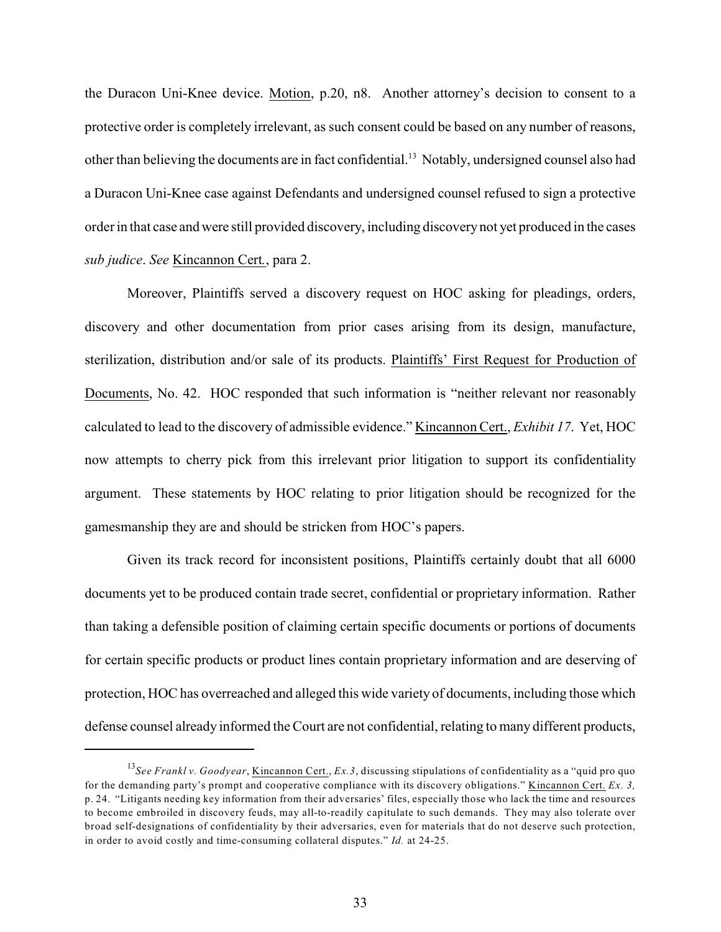the Duracon Uni-Knee device. Motion, p.20, n8. Another attorney's decision to consent to a protective order is completely irrelevant, as such consent could be based on any number of reasons, other than believing the documents are in fact confidential.<sup>13</sup> Notably, undersigned counsel also had a Duracon Uni-Knee case against Defendants and undersigned counsel refused to sign a protective order in that case and were still provided discovery, including discoverynot yet produced in the cases *sub judice*. *See* Kincannon Cert*.*, para 2.

Moreover, Plaintiffs served a discovery request on HOC asking for pleadings, orders, discovery and other documentation from prior cases arising from its design, manufacture, sterilization, distribution and/or sale of its products. Plaintiffs' First Request for Production of Documents, No. 42. HOC responded that such information is "neither relevant nor reasonably calculated to lead to the discovery of admissible evidence." Kincannon Cert., *Exhibit 17*. Yet, HOC now attempts to cherry pick from this irrelevant prior litigation to support its confidentiality argument. These statements by HOC relating to prior litigation should be recognized for the gamesmanship they are and should be stricken from HOC's papers.

Given its track record for inconsistent positions, Plaintiffs certainly doubt that all 6000 documents yet to be produced contain trade secret, confidential or proprietary information. Rather than taking a defensible position of claiming certain specific documents or portions of documents for certain specific products or product lines contain proprietary information and are deserving of protection, HOC has overreached and alleged this wide variety of documents, including those which defense counsel already informed the Court are not confidential, relating to many different products,

<span id="page-35-0"></span><sup>&</sup>lt;sup>13</sup>See *Frankl v. Goodyear*, <u>Kincannon Cert.</u>, *Ex.3*, discussing stipulations of confidentiality as a "quid pro quo for the demanding party's prompt and cooperative compliance with its discovery obligations." Kincannon Cert. *Ex. 3,* p. 24. "Litigants needing key information from their adversaries' files, especially those who lack the time and resources to become embroiled in discovery feuds, may all-to-readily capitulate to such demands. They may also tolerate over broad self-designations of confidentiality by their adversaries, even for materials that do not deserve such protection, in order to avoid costly and time-consuming collateral disputes." *Id.* at 24-25.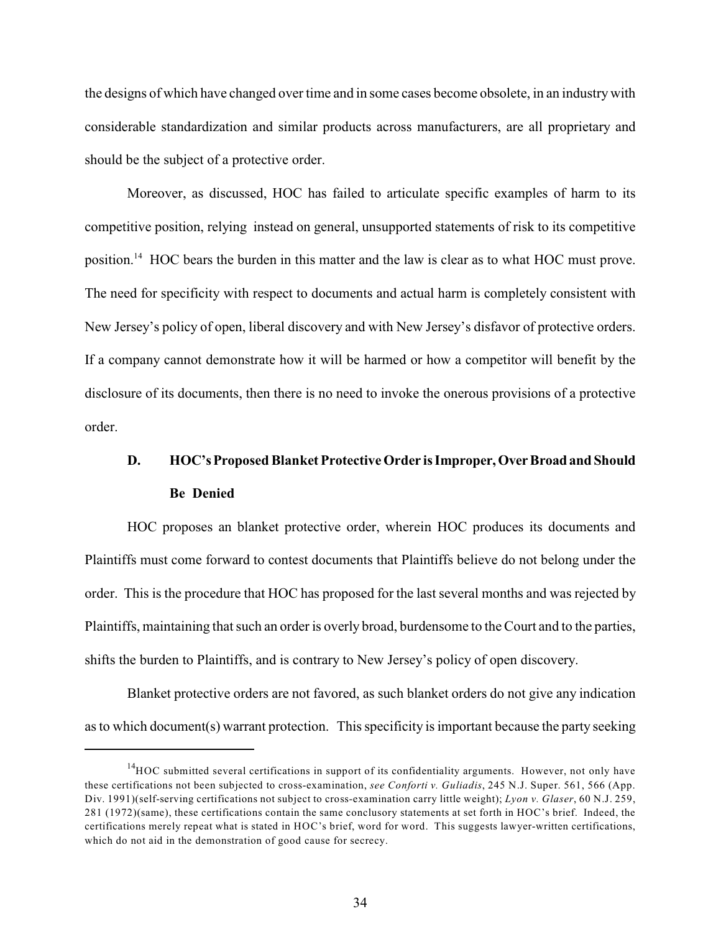the designs of which have changed over time and in some cases become obsolete, in an industry with considerable standardization and similar products across manufacturers, are all proprietary and should be the subject of a protective order.

Moreover, as discussed, HOC has failed to articulate specific examples of harm to its competitive position, relying instead on general, unsupported statements of risk to its competitive position.<sup>14</sup> HOC bears the burden in this matter and the law is clear as to what HOC must prove. The need for specificity with respect to documents and actual harm is completely consistent with New Jersey's policy of open, liberal discovery and with New Jersey's disfavor of protective orders. If a company cannot demonstrate how it will be harmed or how a competitor will benefit by the disclosure of its documents, then there is no need to invoke the onerous provisions of a protective order.

# <span id="page-36-0"></span>**D. HOC's Proposed Blanket Protective Order is Improper, Over Broad and Should Be Denied**

HOC proposes an blanket protective order, wherein HOC produces its documents and Plaintiffs must come forward to contest documents that Plaintiffs believe do not belong under the order. This is the procedure that HOC has proposed for the last several months and was rejected by Plaintiffs, maintaining that such an order is overly broad, burdensome to the Court and to the parties, shifts the burden to Plaintiffs, and is contrary to New Jersey's policy of open discovery.

Blanket protective orders are not favored, as such blanket orders do not give any indication as to which document(s) warrant protection. This specificity is important because the party seeking

<span id="page-36-1"></span> $14$ HOC submitted several certifications in support of its confidentiality arguments. However, not only have these certifications not been subjected to cross-examination, *see Conforti v. Guliadis*, 245 N.J. Super. 561, 566 (App. Div. 1991)(self-serving certifications not subject to cross-examination carry little weight); *Lyon v. Glaser*, 60 N.J. 259, 281 (1972)(same), these certifications contain the same conclusory statements at set forth in HOC's brief. Indeed, the certifications merely repeat what is stated in HOC's brief, word for word. This suggests lawyer-written certifications, which do not aid in the demonstration of good cause for secrecy.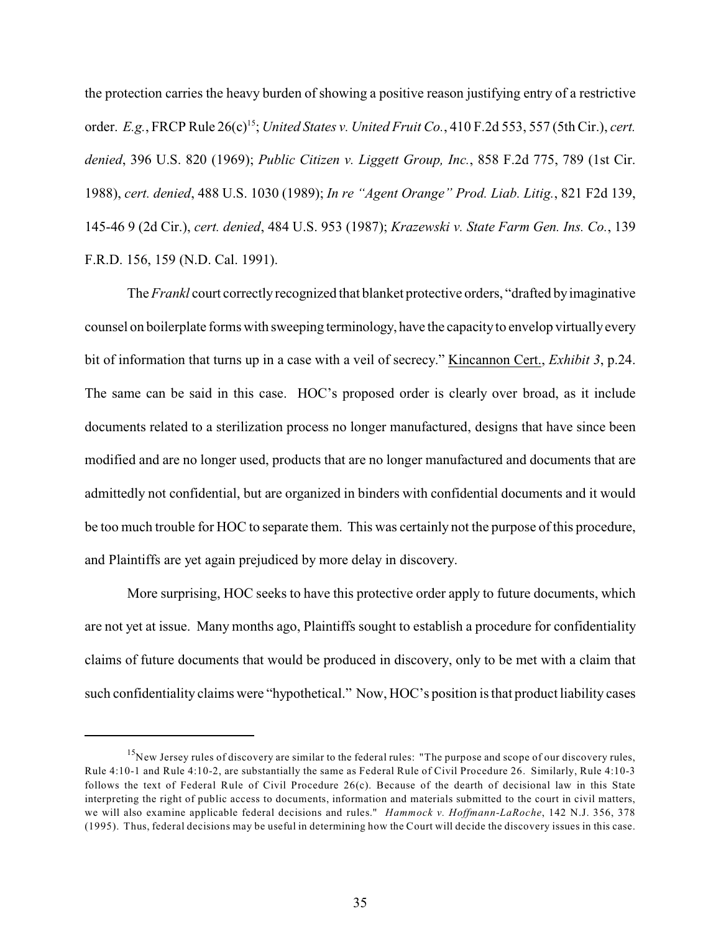<span id="page-37-9"></span><span id="page-37-3"></span><span id="page-37-2"></span><span id="page-37-0"></span>the protection carries the heavy burden of showing a positive reason justifying entry of a restrictive order. *E.g.*, FRCP Rule 26(c)<sup>15</sup>; *United States v. United Fruit Co.*, 410 F.2d 553, 557 (5th Cir.), *cert. denied*, 396 U.S. 820 (1969); *Public Citizen v. Liggett Group, Inc.*, 858 F.2d 775, 789 (1st Cir. 1988), *cert. denied*, 488 U.S. 1030 (1989); *In re "Agent Orange" Prod. Liab. Litig.*, 821 F2d 139, 145-46 9 (2d Cir.), *cert. denied*, 484 U.S. 953 (1987); *Krazewski v. State Farm Gen. Ins. Co.*, 139 F.R.D. 156, 159 (N.D. Cal. 1991).

<span id="page-37-4"></span><span id="page-37-1"></span>The *Frankl* court correctly recognized that blanket protective orders, "drafted by imaginative counsel on boilerplate forms with sweeping terminology, have the capacity to envelop virtually every bit of information that turns up in a case with a veil of secrecy." Kincannon Cert., *Exhibit 3*, p.24. The same can be said in this case. HOC's proposed order is clearly over broad, as it include documents related to a sterilization process no longer manufactured, designs that have since been modified and are no longer used, products that are no longer manufactured and documents that are admittedly not confidential, but are organized in binders with confidential documents and it would be too much trouble for HOC to separate them. This was certainly not the purpose of this procedure, and Plaintiffs are yet again prejudiced by more delay in discovery.

More surprising, HOC seeks to have this protective order apply to future documents, which are not yet at issue. Many months ago, Plaintiffs sought to establish a procedure for confidentiality claims of future documents that would be produced in discovery, only to be met with a claim that such confidentiality claims were "hypothetical." Now, HOC's position is that product liability cases

<span id="page-37-8"></span><span id="page-37-7"></span><span id="page-37-6"></span><span id="page-37-5"></span><sup>&</sup>lt;sup>15</sup>New Jersey rules of discovery are similar to the federal rules: "The purpose and scope of our discovery rules, Rule 4:10-1 and Rule 4:10-2, are substantially the same as Federal Rule of Civil Procedure 26. Similarly, Rule 4:10-3 follows the text of Federal Rule of Civil Procedure  $26(c)$ . Because of the dearth of decisional law in this State interpreting the right of public access to documents, information and materials submitted to the court in civil matters, we will also examine applicable federal decisions and rules." *Hammock v. Hoffmann-LaRoche*, 142 N.J. 356, 378 (1995). Thus, federal decisions may be useful in determining how the Court will decide the discovery issues in this case.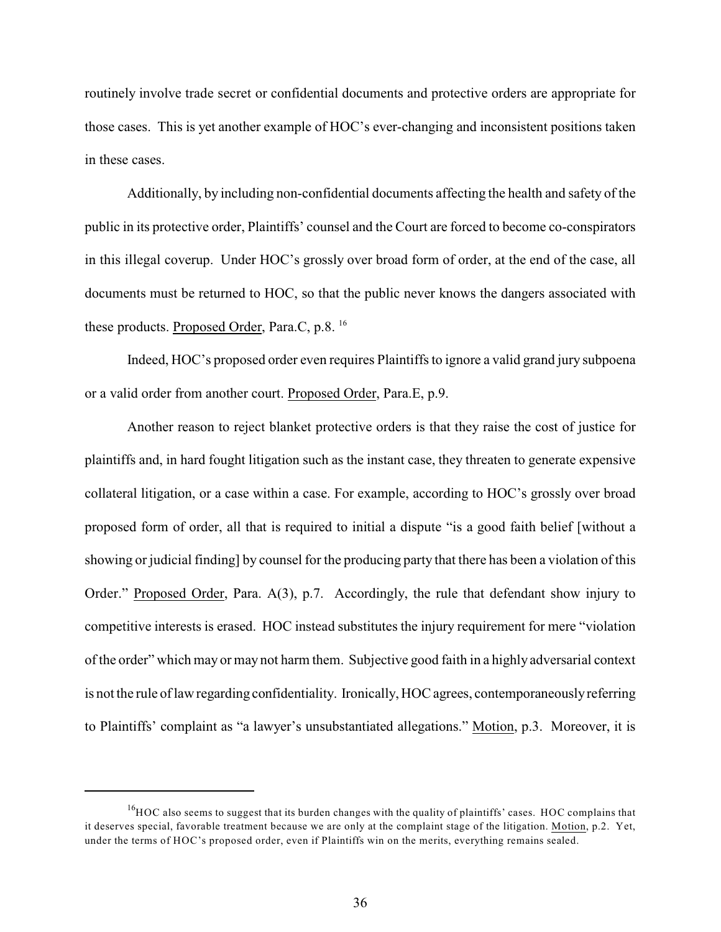routinely involve trade secret or confidential documents and protective orders are appropriate for those cases. This is yet another example of HOC's ever-changing and inconsistent positions taken in these cases.

Additionally, by including non-confidential documents affecting the health and safety of the public in its protective order, Plaintiffs' counsel and the Court are forced to become co-conspirators in this illegal coverup. Under HOC's grossly over broad form of order, at the end of the case, all documents must be returned to HOC, so that the public never knows the dangers associated with these products. Proposed Order, Para.C, p.8. <sup>16</sup>

Indeed, HOC's proposed order even requires Plaintiffs to ignore a valid grand jury subpoena or a valid order from another court. Proposed Order, Para.E, p.9.

Another reason to reject blanket protective orders is that they raise the cost of justice for plaintiffs and, in hard fought litigation such as the instant case, they threaten to generate expensive collateral litigation, or a case within a case. For example, according to HOC's grossly over broad proposed form of order, all that is required to initial a dispute "is a good faith belief [without a showing or judicial finding] by counsel for the producing party that there has been a violation of this Order." Proposed Order, Para. A(3), p.7. Accordingly, the rule that defendant show injury to competitive interests is erased. HOC instead substitutes the injury requirement for mere "violation of the order" which may or may not harm them. Subjective good faith in a highly adversarial context is not the rule of law regarding confidentiality. Ironically, HOC agrees, contemporaneously referring to Plaintiffs' complaint as "a lawyer's unsubstantiated allegations." Motion, p.3. Moreover, it is

 $^{16}$ HOC also seems to suggest that its burden changes with the quality of plaintiffs' cases. HOC complains that it deserves special, favorable treatment because we are only at the complaint stage of the litigation. Motion, p.2. Yet, under the terms of HOC's proposed order, even if Plaintiffs win on the merits, everything remains sealed.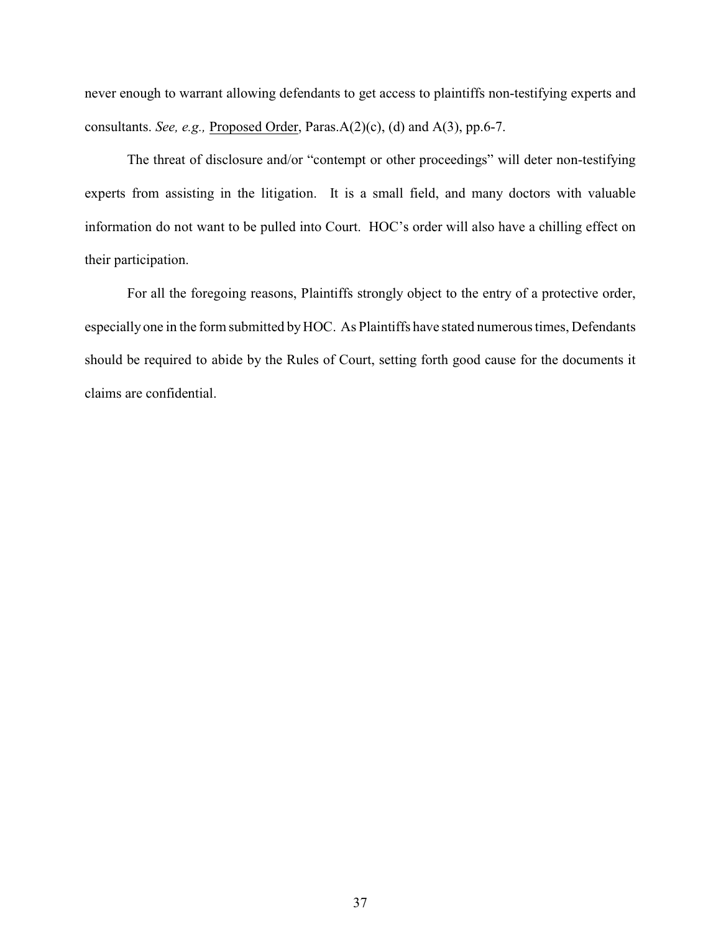never enough to warrant allowing defendants to get access to plaintiffs non-testifying experts and consultants. *See, e.g.,* Proposed Order, Paras.A(2)(c), (d) and A(3), pp.6-7.

The threat of disclosure and/or "contempt or other proceedings" will deter non-testifying experts from assisting in the litigation. It is a small field, and many doctors with valuable information do not want to be pulled into Court. HOC's order will also have a chilling effect on their participation.

For all the foregoing reasons, Plaintiffs strongly object to the entry of a protective order, especially one in the form submitted byHOC. As Plaintiffs have stated numerous times, Defendants should be required to abide by the Rules of Court, setting forth good cause for the documents it claims are confidential.